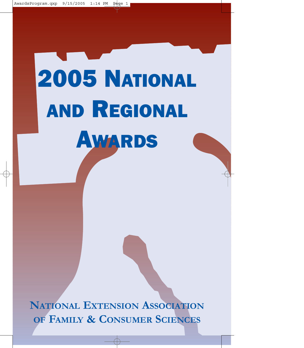# 2005 NATIONAL AND REGIONAL AWARDS

**NATIONAL EXTENSION ASSOCIATION OF FAMILY & CONSUMER SCIENCES**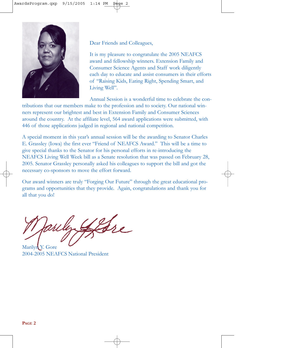

Dear Friends and Colleagues,

It is my pleasure to congratulate the 2005 NEAFCS award and fellowship winners. Extension Family and Consumer Science Agents and Staff work diligently each day to educate and assist consumers in their efforts of "Raising Kids, Eating Right, Spending Smart, and Living Well".

Annual Session is a wonderful time to celebrate the con-

tributions that our members make to the profession and to society. Our national winners represent our brightest and best in Extension Family and Consumer Sciences around the country. At the affiliate level, 564 award applications were submitted, with 446 of those applications judged in regional and national competition.

A special moment in this year's annual session will be the awarding to Senator Charles E. Grassley (Iowa) the first ever "Friend of NEAFCS Award." This will be a time to give special thanks to the Senator for his personal efforts in re-introducing the NEAFCS Living Well Week bill as a Senate resolution that was passed on February 28, 2005. Senator Grassley personally asked his colleagues to support the bill and got the necessary co-sponsors to move the effort forward.

Our award winners are truly "Forging Our Future" through the great educational programs and opportunities that they provide. Again, congratulations and thank you for all that you do!

Marilyn Y. Gore 2004-2005 NEAFCS National President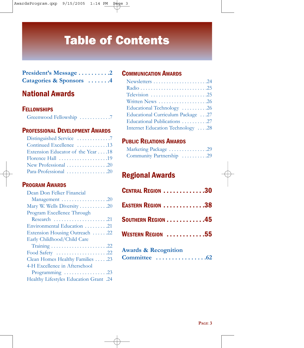# Table of Contents

### **President's Message . . . . . . . . . .2 Catagories & Sponsors . . . . . . .4**

### National Awards

### **FELLOWSHIPS**

| Greenwood Fellowship 7 |  |  |  |  |  |  |  |  |  |  |  |  |  |
|------------------------|--|--|--|--|--|--|--|--|--|--|--|--|--|
|------------------------|--|--|--|--|--|--|--|--|--|--|--|--|--|

### PROFESSIONAL DEVELOPMENT AWARDS

| Distinguished Service 7                                   |
|-----------------------------------------------------------|
| Continued Excellence 13                                   |
| Extension Educator of the Year 18                         |
| Florence Hall $\dots\dots\dots\dots\dots\dots$ . 19       |
| New Professional $\dots \dots \dots \dots \dots \dots 20$ |
| Para-Professional 20                                      |

### PROGRAM AWARDS

### COMMUNICATION AWARDS

| Television $\ldots \ldots \ldots \ldots \ldots \ldots \ldots \ldots 25$ |
|-------------------------------------------------------------------------|
| Written News 26                                                         |
| Educational Technology 26                                               |
| Educational Curriculum Package 27                                       |
| Educational Publications 27                                             |
| Internet Education Technology 28                                        |

### PUBLIC RELATIONS AWARDS

| Marketing Package 29     |  |  |  |  |  |
|--------------------------|--|--|--|--|--|
| Community Partnership 29 |  |  |  |  |  |

## Regional Awards

| CENTRAL REGION 30  |  |
|--------------------|--|
| EASTERN REGION 38  |  |
| SOUTHERN REGION 45 |  |
| Western Region 55  |  |

| <b>Awards &amp; Recognition</b> |  |  |  |
|---------------------------------|--|--|--|
| Committee 62                    |  |  |  |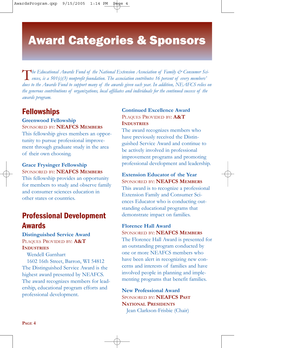# Award Categories & Sponsors

*The Educational Awards Fund of the National Extension Association of Family & Consumer Sci-*<br> *ences, is a 501(c)(3) nonprofit foundation. The association contributes 16 percent of every members' dues to the Awards Fund to support many of the awards given each year. In addition, NEAFCS relies on the generous contributions of organizations, local affiliates and individuals for the continued success of the awards program.*

### Fellowships

**Greenwood Fellowship** SPONSORED BY: **NEAFCS MEMBERS** This fellowship gives members an opportunity to pursue professional improvement through graduate study in the area of their own choosing.

#### **Grace Frysinger Fellowship** SPONSORED BY: **NEAFCS MEMBERS**

This fellowship provides an opportunity for members to study and observe family and consumer sciences education in other states or countries.

### Professional Development Awards

**Distinguished Service Award** PLAQUES PROVIDED BY: **A&T**

#### **INDUSTRIES**

Wendell Garnhart

1602 16th Street, Barron, WI 54812 The Distinguished Service Award is the highest award presented by NEAFCS. The award recognizes members for leadership, educational program efforts and professional development.

#### **Continued Excellence Award** PLAQUES PROVIDED BY: **A&T**

#### **INDUSTRIES**

The award recognizes members who have previously received the Distinguished Service Award and continue to be actively involved in professional improvement programs and promoting professional development and leadership.

#### **Extension Educator of the Year** SPONSORED BY: **NEAFCS MEMBERS**

This award is to recognize a professional Extension Family and Consumer Sciences Educator who is conducting outstanding educational programs that demonstrate impact on families.

#### **Florence Hall Award**

SPONSORED BY: **NEAFCS MEMBERS** The Florence Hall Award is presented for an outstanding program conducted by one or more NEAFCS members who have been alert in recognizing new concerns and interests of families and have involved people in planning and implementing programs that benefit families.

**New Professional Award** SPONSORED BY: **NEAFCS PAST NATIONAL PRESIDENTS** Jean Clarkson-Frisbie (Chair)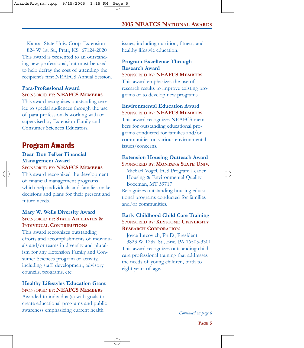Kansas State Univ. Coop. Extension 824 W 1st St., Pratt, KS 67124-2020 This award is presented to an outstanding new professional, but must be used to help defray the cost of attending the recipient's first NEAFCS Annual Session.

#### **Para-Professional Award** SPONSORED BY: **NEAFCS MEMBERS**

This award recognizes outstanding service to special audiences through the use of para-professionals working with or supervised by Extension Family and Consumer Sciences Educators.

### Program Awards

#### **Dean Don Felker Financial Management Award** SPONSORED BY: **NEAFCS MEMBERS**

This award recognized the development of financial management programs which help individuals and families make decisions and plans for their present and future needs.

#### **Mary W. Wells Diversity Award** SPONSORED BY: **STATE AFFILIATES & INDIVIDUAL CONTRIBUTIONS**

This award recognizes outstanding efforts and accomplishments of individuals and/or teams in diversity and pluralism for any Extension Family and Consumer Sciences program or activity, including staff development, advisory councils, programs, etc.

**Healthy Lifestyles Education Grant** SPONSORED BY: **NEAFCS MEMBERS** Awarded to individual(s) with goals to create educational programs and public awareness emphasizing current health

issues, including nutrition, fitness, and healthy lifestyle education.

#### **Program Excellence Through Research Award**

SPONSORED BY: **NEAFCS MEMBERS** This award emphasizes the use of research results to improve existing programs or to develop new programs.

#### **Environmental Education Award**

SPONSORED BY: **NEAFCS MEMBERS** This award recognizes NEAFCS members for outstanding educational programs conducted for families and/or communities on various environmental issues/concerns.

#### **Extension Housing Outreach Award**

SPONSORED BY: **MONTANA STATE UNIV.** Michael Vogel, FCS Program Leader Housing & Environmental Quality Bozeman, MT 59717 Recognizes outstanding housing educational programs conducted for families and/or communities.

#### **Early Childhood Child Care Training**  SPONSORED BY: **KEYSTONE UNIVERSITY RESEARCH CORPORATION**

Joyce Iutcovich, Ph.D., President 3823 W. 12th St., Erie, PA 16505-3301 This award recognizes outstanding childcare professional training that addresses the needs of young children, birth to eight years of age.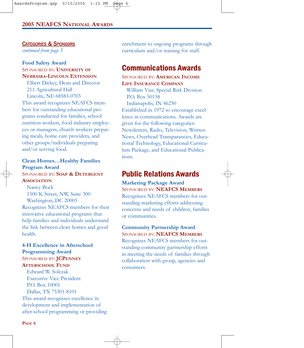#### CATEGORIES & SPONSORS

*continued from page 5*

#### **Food Safety Award** SPONSORED BY: **UNIVERSITY OF NEBRASKA-LINCOLN EXTENSION**

Elbert Dickey, Dean and Director 211 Agricultural Hall Lincoln, NE 68583-0703 This award recognizes NEAFCS members for outstanding educational programs conducted for families, school nutrition workers, food industry employees or managers, church workers preparing meals, home care providers, and other groups/individuals preparing and/or serving food.

#### **Clean Homes…Healthy Families Program Award** SPONSORED BY: **SOAP & DETERGENT ASSOCIATION**

Nancy Bock 1500 K Street, NW, Suite 300 Washington, DC 20005 Recognizes NEAFCS members for their innovative educational programs that help families and individuals understand the link between clean homes and good health.

#### **4-H Excellence in Afterschool Programming Award** SPONSORED BY: **JCPENNEY**

#### **AFTERSCHOOL FUND**

Edward W. Solczak Executive Vice President P.O. Box 10001 Dallas, TX 75301-8101 This award recognizes excellence in development and implementation of after-school programming or providing enrichment to ongoing programs through curriculum and/or training for staff.

### Communications Awards

SPONSORED BY: **AMERICAN INCOME LIFE INSURANCE COMPANY** William Viar, Special Risk Division P.O. Box 50158 Indianapolis, IN 46250 Established in 1972 to encourage excellence in communications. Awards are given for the following categories: Newsletters, Radio, Television, Written News, Overhead Transparancies, Educational Technology, Educational Curriculum Package, and Educational Publications.

### Public Relations Awards

**Marketing Package Award** SPONSORED BY: **NEAFCS MEMBERS** Recognizes NEAFCS members for outstanding marketing efforts addressing concerns and needs of children, families or communities.

**Community Partnership Award** SPONSORED BY: **NEAFCS MEMBERS** Recognizes NEAFCS members for out-

standing community partnership efforts in meeting the needs of families through collaboration with group, agencies and consumers.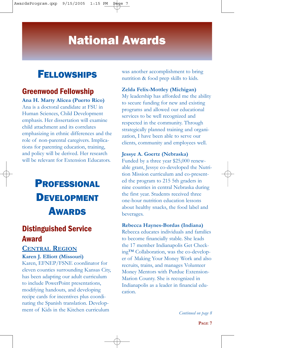# National Awards

# **FELLOWSHIPS**

### Greenwood Fellowship

**Ana H. Marty Alicea (Puerto Rico)** Ana is a doctoral candidate at FSU in Human Sciences, Child Development emphasis. Her dissertation will examine child attachment and its correlates emphasizing in ethnic differences and the role of non-parental caregivers. Implications for parenting education, training, and policy will be derived. Her research will be relevant for Extension Educators.

# PROFESSIONAL DEVELOPMENT AWARDS

### Distinguished Service Award

#### **CENTRAL REGION**

#### **Karen J. Elliott (Missouri)**

Karen, EFNEP/FSNE coordinator for eleven counties surrounding Kansas City, has been adapting our adult curriculum to include PowerPoint presentations, modifying handouts, and developing recipe cards for incentives plus coordinating the Spanish translation. Development of Kids in the Kitchen curriculum

was another accomplishment to bring nutrition & food prep skills to kids.

#### **Zelda Felix-Mottley (Michigan)**

My leadership has afforded me the ability to secure funding for new and existing programs and allowed our educational services to be well recognized and respected in the community. Through strategically planned training and organization, I have been able to serve our clients, community and employees well.

#### **Jessye A. Goertz (Nebraska)**

Funded by a three year \$25,000 renewable grant, Jessye co-developed the Nutrition Mission curriculum and co-presented the program to 215 5th graders in nine counties in central Nebraska during the first year. Students received three one-hour nutrition education lessons about healthy snacks, the food label and beverages.

#### **Rebecca Haynes-Bordas (Indiana)**

Rebecca educates individuals and families to become financially stable. She leads the 17 member Indianapolis Get Checking™ Collaboration, was the co-developer of Making Your Money Work and also recruits, trains, and manages Volunteer Money Mentors with Purdue Extension-Marion County. She is recognized in Indianapolis as a leader in financial education.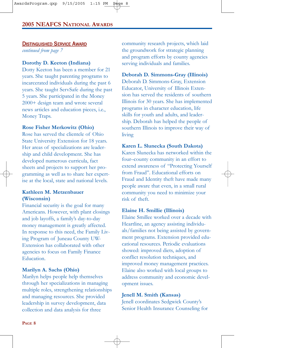#### DISTINGUISHED SERVICE AWARD

*continued from page 7*

#### **Dorothy D. Keeton (Indiana)**

Dotty Keeton has been a member for 21 years. She taught parenting programs to incarcerated individuals during the past 6 years. She taught ServSafe during the past 5 years. She participated in the Money 2000+ design team and wrote several news articles and education pieces, i.e., Money Traps.

#### **Rose Fisher Merkowitz (Ohio)**

Rose has served the clientele of Ohio State University Extension for 18 years. Her areas of specializations are leadership and child development. She has developed numerous curricula, fact sheets and projects to support her programming as well as to share her expertise at the local, state and national levels.

#### **Kathleen M. Metzenbauer (Wisconsin)**

Financial security is the goal for many Americans. However, with plant closings and job layoffs, a family's day-to-day money management is greatly affected. In response to this need, the Family Living Program of Juneau County UW-Extension has collaborated with other agencies to focus on Family Finance Education.

#### **Marilyn A. Sachs (Ohio)**

Marilyn helps people help themselves through her specializations in managing multiple roles, strengthening relationships and managing resources. She provided leadership in survey development, data collection and data analysis for three

community research projects, which laid the groundwork for strategic planning and program efforts by county agencies serving individuals and families.

#### **Deborah D. Simmons-Gray (Illinois)**

Deborah D. Simmons-Gray, Extension Educator, University of Illinois Extension has served the residents of southern Illinois for 30 years. She has implemented programs in character education, life skills for youth and adults, and leadership. Deborah has helped the people of southern Illinois to improve their way of living

#### **Karen L. Slunecka (South Dakota)**

Karen Slunecka has networked within the four–county community in an effort to extend awareness of "Protecting Yourself from Fraud". Educational efforts on Fraud and Identity theft have made many people aware that even, in a small rural community you need to minimize your risk of theft.

#### **Elaine H. Smillie (Illinois)**

Elaine Smillee worked over a decade with Heartline, an agency assisting individuals/families not being assisted by government programs. Extension provided educational resources. Periodic evaluations showed: improved diets, adoption of conflict resolution techniques, and improved money management practices. Elaine also worked with local groups to address community and economic development issues.

#### **Jenell M. Smith (Kansas)**

Jenell coordinates Sedgwick County's Senior Health Insurance Counseling for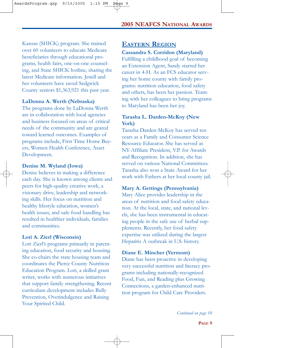Kansas (SHICK) program. She trained over 60 volunteers to educate Medicare beneficiaries through educational programs, health fairs, one-on-one counseling, and State SHICK hotline, sharing the latest Medicare information. Jenell and her volunteers have saved Sedgwick County seniors \$1,363,921 this past year.

#### **LaDonna A. Werth (Nebraska)**

The programs done by LaDonna Werth are in collaboration with local agencies and business focused on areas of critical needs of the community and are geared toward learned outcomes. Examples of programs include, First Time Home Buyers, Women Health Conference, Asset Development.

#### **Denise M. Wyland (Iowa)**

Denise believes in making a difference each day. She is known among clients and peers for high-quality creative work, a visionary drive, leadership and networking skills. Her focus on nutrition and healthy lifestyle education, women's health issues, and safe food handling has resulted in healthier individuals, families and communities.

#### **Lori A. Zierl (Wisconsin)**

Lori Zierl's programs primarily in parenting education, food security and housing. She co-chairs the state housing team and coordinates the Pierce County Nutrition Education Program. Lori, a skilled grant writer, works with numerous initiatives that support family strengthening. Recent curriculum development includes Bully Prevention, Overindulgence and Raising Your Spirited Child.

#### **EASTERN REGION**

#### **Cassandra S. Corridon (Maryland)**

Fulfilling a childhood goal of becoming an Extension Agent, Sandy started her career in 4-H. As an FCS educator serving her home county with family programs: nutrition education, food safety and others, has been her passion. Teaming with her colleagues to bring programs to Maryland has been her joy.

#### **Tarasha L. Darden-McKoy (New York)**

Tarasha Darden-McKoy has served ten years as a Family and Consumer Science Resource Educator. She has served as NY-Affiliate President, V.P. for Awards and Recognition. In addition, she has served on various National Committees. Tarasha also won a State Award for her work with Fathers at her local county jail.

#### **Mary A. Gettings (Pennsylvania)**

Mary Alice provides leadership in the areas of nutrition and food safety education. At the local, state, and national levels, she has been instrumental in educating people in the safe use of herbal supplements. Recently, her food safety expertise was utilized during the largest Hepatitis A outbreak in U.S. history.

#### **Diane E. Mincher (Vermont)**

Diane has been proactive in developing very successful nutrition and literacy programs including nationally-recognized Food, Fun, and Reading plus Growing Connections, a garden-enhanced nutrition program for Child Care Providers.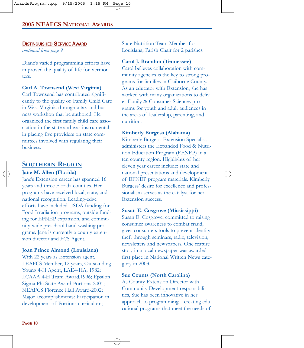#### DISTINGUISHED SERVICE AWARD

*continued from page 9*

Diane's varied programming efforts have improved the quality of life for Vermonters.

#### **Carl A. Townsend (West Virginia)**

Carl Townsend has contributed significantly to the quality of Family Child Care in West Virginia through a tax and business workshop that he authored. He organized the first family child care association in the state and was instrumental in placing five providers on state committees involved with regulating their business.

### **SOUTHERN REGION**

**Jane M. Allen (Florida)**

Jane's Extension career has spanned 16 years and three Florida counties. Her programs have received local, state, and national recognition. Leading-edge efforts have included USDA funding for Food Irradiation programs, outside funding for EFNEP expansion, and community-wide preschool hand washing programs. Jane is currently a county extension director and FCS Agent.

#### **Joan Prince Almond (Louisiana)**

With 22 years as Extension agent, LEAFCS Member, 12 years, Outstanding Young 4-H Agent, LAE4-HA, 1982; LCAAA 4-H Team Award,1996; Epsilon Sigma Phi State Award-Portions-2001; NEAFCS Florence Hall Award-2002; Major accomplishments: Participation in development of Portions curriculum;

State Nutrition Team Member for Louisiana; Parish Chair for 2 parishes.

#### **Carol J. Brandon (Tennessee)**

Carol believes collaboration with community agencies is the key to strong programs for families in Claiborne County. As an educator with Extension, she has worked with many organizations to deliver Family & Consumer Sciences programs for youth and adult audiences in the areas of leadership, parenting, and nutrition.

#### **Kimberly Burgess (Alabama)**

Kimberly Burgess, Extension Specialist, administers the Expanded Food & Nutrition Education Program (EFNEP) in a ten county region. Highlights of her eleven year career include: state and national presentations and development of EFNEP program materials. Kimberly Burgess' desire for excellence and professionalism serves as the catalyst for her Extension success.

#### **Susan E. Cosgrove (Mississippi)**

Susan E. Cosgrove, committed to raising consumer awareness to combat fraud, gives consumers tools to prevent identity theft through seminars, radio, television, newsletters and newspapers. One feature story in a local newspaper was awarded first place in National Written News category in 2003.

#### **Sue Counts (North Carolina)**

As County Extension Director with Community Development responsibilities, Sue has been innovative in her approach to programming—creating educational programs that meet the needs of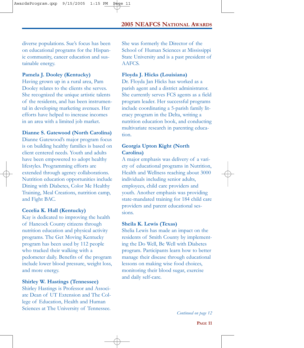diverse populations. Sue's focus has been on educational programs for the Hispanic community, cancer education and sustainable energy.

#### **Pamela J. Dooley (Kentucky)**

Having grown up in a rural area, Pam Dooley relates to the clients she serves. She recognized the unique artistic talents of the residents, and has been instrumental in developing marketing avenues. Her efforts have helped to increase incomes in an area with a limited job market.

#### **Dianne S. Gatewood (North Carolina)**

Dianne Gatewood's major program focus is on building healthy families is based on client centered needs. Youth and adults have been empowered to adopt healthy lifestyles. Programming efforts are extended through agency collaborations. Nutrition education opportunities include Dining with Diabetes, Color Me Healthy Training, Meal Creations, nutrition camp, and Fight BAC.

#### **Cecelia K. Hall (Kentucky)**

Kay is dedicated to improving the health of Hancock County citizens through nutrition education and physical activity programs. The Get Moving Kentucky program has been used by 112 people who tracked their walking with a pedometer daily. Benefits of the program include lower blood pressure, weight loss, and more energy.

#### **Shirley W. Hastings (Tennessee)**

Shirley Hastings is Professor and Associate Dean of UT Extension and The College of Education, Health and Human Sciences at The University of Tennessee.

She was formerly the Director of the School of Human Sciences at Mississippi State University and is a past president of AAFCS.

#### **Floyda J. Hicks (Louisiana)**

Dr. Floyda Jan Hicks has worked as a parish agent and a district administrator. She currently serves FCS agents as a field program leader. Her successful programs include coordinating a 5-parish family literacy program in the Delta, writing a nutrition education book, and conducting multivariate research in parenting education.

#### **Georgia Upton Kight (North Carolina)**

A major emphasis was delivery of a variety of educational programs in Nutrition, Health and Wellness reaching about 3000 individuals including senior adults, employees, child care providers and youth. Another emphasis was providing state-mandated training for 184 child care providers and parent educational sessions.

#### **Sheila K. Lewis (Texas)**

Shelia Lewis has made an impact on the residents of Smith County by implementing the Do Well, Be Well with Diabetes program. Participants learn how to better manage their disease through educational lessons on making wise food choices, monitoring their blood sugar, exercise and daily self-care.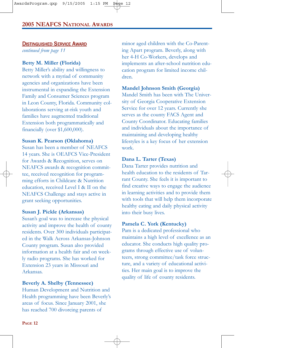#### DISTINGUISHED SERVICE AWARD

*continued from page 11*

#### **Betty M. Miller (Florida)**

Betty Miller's ability and willingness to network with a myriad of community agencies and organizations have been instrumental in expanding the Extension Family and Consumer Sciences program in Leon County, Florida. Community collaborations serving at-risk youth and families have augmented traditional Extension both programmatically and financially (over \$1,600,000).

#### **Susan K. Pearson (Oklahoma)**

Susan has been a member of NEAFCS 14 years. She is OEAFCS Vice-President for Awards & Recognition, serves on NEAFCS awards & recognition committee, received recognition for programming efforts in Childcare & Nutrition education, received Level I & II on the NEAFCS Challenge and stays active in grant seeking opportunities.

#### **Susan J. Pickle (Arkansas)**

Susan's goal was to increase the physical activity and improve the health of county residents. Over 300 individuals participated in the Walk Across Arkansas-Johnson County program. Susan also provided information at a health fair and on weekly radio programs. She has worked for Extension 23 years in Missouri and Arkansas.

#### **Beverly A. Shelby (Tennessee)**

Human Development and Nutrition and Health programming have been Beverly's areas of focus. Since January 2001, she has reached 700 divorcing parents of

minor aged children with the Co-Parenting Apart program. Beverly, along with her 4-H Co-Workers, develops and implements an after-school nutrition education program for limited income children.

#### **Mandel Johnson Smith (Georgia)**

Mandel Smith has been with The University of Georgia Cooperative Extension Service for over 12 years. Currently she serves as the county FACS Agent and County Coordinator. Educating families and individuals about the importance of maintaining and developing healthy lifestyles is a key focus of her extension work.

#### **Dana L. Tarter (Texas)**

Dana Tarter provides nutrition and health education to the residents of Tarrant County. She feels it is important to find creative ways to engage the audience in learning activities and to provide them with tools that will help them incorporate healthy eating and daily physical activity into their busy lives.

#### **Pamela C. York (Kentucky)**

Pam is a dedicated professional who maintains a high level of excellence as an educator. She conducts high quality programs through effective use of volunteers, strong committee/task force structure, and a variety of educational activities. Her main goal is to improve the quality of life of county residents.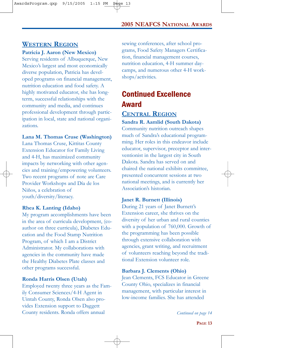#### **WESTERN REGION**

#### **Patricia J. Aaron (New Mexico)**

Serving residents of Albuquerque, New Mexico's largest and most economically diverse population, Patricia has developed programs on financial management, nutrition education and food safety. A highly motivated educator, she has longterm, successful relationships with the community and media, and continues professional development through participation in local, state and national organizations.

#### **Lana M. Thomas Cruse (Washington)**

Lana Thomas Cruse, Kittitas County Extension Educator for Family Living and 4-H, has maximized community impacts by networking with other agencies and training/empowering volunteers. Two recent programs of note are Care Provider Workshops and Día de los Niños, a celebration of youth/diversity/literacy.

#### **Rhea K. Lanting (Idaho)**

My program accomplishments have been in the area of curricula development, (coauthor on three curricula), Diabetes Education and the Food Stamp Nutrition Program, of which I am a District Administrator. My collaborations with agencies in the community have made the Healthy Diabetes Plate classes and other programs successful.

#### **Ronda Harris Olsen (Utah)**

Employed twenty three years as the Family Consumer Sciences/4-H Agent in Uintah County, Ronda Olsen also provides Extension support to Daggett County residents. Ronda offers annual

sewing conferences, after school programs, Food Safety Managers Certification, financial management courses, nutrition education, 4-H summer daycamps, and numerous other 4-H workshops/activities.

### Continued Excellence Award

#### **CENTRAL REGION**

**Sandra R. Aamlid (South Dakota)** Community nutrition outreach shapes much of Sandra's educational programming. Her roles in this endeavor include educator, supervisor, preceptor and interventionist in the largest city in South Dakota. Sandra has served on and chaired the national exhibits committee, presented concurrent sessions at two national meetings, and is currently her Association's historian.

#### **Janet R. Burnett (Illinois)**

During 21 years of Janet Burnett's Extension career, she thrives on the diversity of her urban and rural counties with a population of 760,000. Growth of the programming has been possible through extensive collaboration with agencies, grant writing, and recruitment of volunteers reaching beyond the traditional Extension volunteer role.

#### **Barbara J. Clements (Ohio)**

Jean Clements, FCS Educator in Greene County Ohio, specializes in financial management, with particular interest in low-income families. She has attended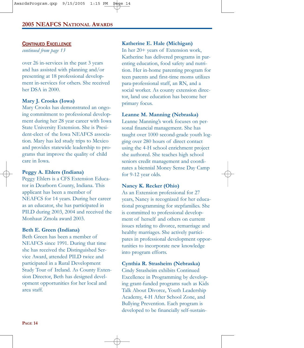#### **CONTINUED EXCELLENCE**

*continued from page 13*

over 26 in-services in the past 3 years and has assisted with planning and/or presenting at 18 professional development in-services for others. She received her DSA in 2000.

#### **Mary J. Crooks (Iowa)**

Mary Crooks has demonstrated an ongoing commitment to professional development during her 28 year career with Iowa State University Extension. She is President-elect of the Iowa NEAFCS association. Mary has led study trips to Mexico and provides statewide leadership to programs that improve the quality of child care in Iowa.

#### **Peggy A. Ehlers (Indiana)**

Peggy Ehlers is a CFS Extension Educator in Dearborn County, Indiana. This applicant has been a member of NEAFCS for 14 years. During her career as an educator, she has participated in PILD during 2003, 2004 and received the Monhaut Zmola award 2003.

#### **Beth E. Green (Indiana)**

Beth Green has been a member of NEAFCS since 1991. During that time she has received the Distinguished Service Award, attended PILD twice and participated in a Rural Development Study Tour of Ireland. As County Extension Director, Beth has designed development opportunities for her local and area staff.

#### **Katherine E. Hale (Michigan)**

In her 20+ years of Extension work, Katherine has delivered programs in parenting education, food safety and nutrition. Her in-home parenting program for teen parents and first-time moms utilizes para-professional staff, an RN, and a social worker. As county extension director, land use education has become her primary focus.

#### **Leanne M. Manning (Nebraska)**

Leanne Manning's work focuses on personal financial management. She has taught over 1000 second-grade youth logging over 280 hours of direct contact using the 4-H school enrichment project she authored. She teaches high school seniors credit management and coordinates a biennial Money Sense Day Camp for 9-12 year olds.

#### **Nancy K. Recker (Ohio)**

As an Extension professional for 27 years, Nancy is recognized for her educational programming for stepfamilies. She is committed to professional development of herself and others on current issues relating to divorce, remarriage and healthy marriages. She actively participates in professional development opportunities to incorporate new knowledge into program efforts.

#### **Cynthia R. Strasheim (Nebraska)**

Cindy Strasheim exhibits Continued Excellence in Programming by developing grant-funded programs such as Kids Talk About Divorce, Youth Leadership Academy, 4-H After School Zone, and Bullying Prevention. Each program is developed to be financially self-sustain-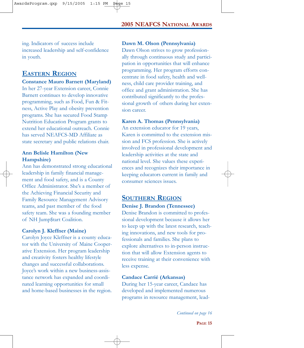ing. Indicators of success include increased leadership and self-confidence in youth.

#### **EASTERN REGION**

#### **Constance Mauro Barnett (Maryland)**

In her 27-year Extension career, Connie Barnett continues to develop innovative programming, such as Food, Fun & Fitness, Active Play and obesity prevention programs. She has secured Food Stamp Nutrition Education Program grants to extend her educational outreach. Connie has served NEAFCS-MD Affiliate as state secretary and public relations chair.

#### **Ann Belisle Hamilton (New Hampshire)**

Ann has demonstrated strong educational leadership in family financial management and food safety, and is a County Office Administrator. She's a member of the Achieving Financial Security and Family Resource Management Advisory teams, and past member of the food safety team. She was a founding member of NH Jump\$tart Coalition.

#### **Carolyn J. Kleffner (Maine)**

Carolyn Joyce Kleffner is a county educator with the University of Maine Cooperative Extension. Her program leadership and creativity fosters healthy lifestyle changes and successful collaborations. Joyce's work within a new business-assistance network has expanded and coordinated learning opportunities for small and home-based businesses in the region.

#### **Dawn M. Olson (Pennsylvania)**

Dawn Olson strives to grow professionally through continuous study and participation in opportunities that will enhance programming. Her program efforts concentrate in food safety, health and wellness, child care provider training, and office and grant administration. She has contributed significantly to the professional growth of others during her extension career.

#### **Karen A. Thomas (Pennsylvania)**

An extension educator for 19 years, Karen is committed to the extension mission and FCS profession. She is actively involved in professional development and leadership activities at the state and national level. She values these experiences and recognizes their importance in keeping educators current in family and consumer sciences issues.

#### **SOUTHERN REGION**

#### **Denise J. Brandon (Tennessee)**

Denise Brandon is committed to professional development because it allows her to keep up with the latest research, teaching innovations, and new tools for professionals and families. She plans to explore alternatives to in-person instruction that will allow Extension agents to receive training at their convenience with less expense.

#### **Candace Carrié (Arkansas)**

During her 15-year career, Candace has developed and implemented numerous programs in resource management, lead-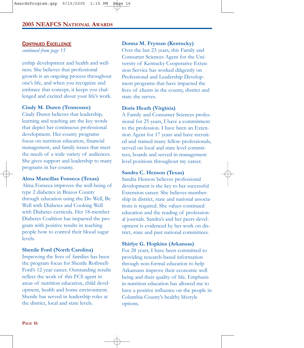#### CONTINUED EXCELLENCE

*continued from page 15*

ership development and health and wellness. She believes that professional growth is an ongoing process throughout one's life, and when you recognize and embrace that concept, it keeps you challenged and excited about your life's work.

#### **Cindy M. Duren (Tennessee)**

Cindy Duren believes that leadership, learning and teaching are the key words that depict her continuous professional development. Her county programs focus on nutrition education, financial management, and family issues that meet the needs of a wide variety of audiences. She gives support and leadership to many programs in her county.

#### **Alma Mancillas Fonseca (Texas)**

Alma Fonseca improves the well-being of type 2 diabetics in Brazos County through education using the Do Well, Be Well with Diabetes and Cooking Well with Diabetes curricula. Her 18-member Diabetes Coalition has impacted the program with positive results in teaching people how to control their blood sugar levels.

#### **Shenile Ford (North Carolina)**

Improving the lives of families has been the program focus for Shenile Rothwell-Ford's 12 year career. Outstanding results reflect the work of this FCS agent in areas of nutrition education, child development, health and home environment. Shenile has served in leadership roles at the district, local and state levels.

#### **Donna M. Fryman (Kentucky)**

Over the last 23 years, this Family and Consumer Sciences Agent for the University of Kentucky Cooperative Extension Service has worked diligently on Professional and Leadership Development programs that have impacted the lives of clients in the county, district and state she serves.

#### **Doris Heath (Virginia)**

A Family and Consumer Sciences professional for 25 years, I have a commitment to the profession. I have been an Extension Agent for 17 years and have recruited and trained many fellow professionals, served on local and state level committees, boards and served in management level positions throughout my career.

#### **Sandra C. Henson (Texas)**

Sandra Henson believes professional development is the key to her successful Extension career. She believes membership in district, state and national associations is required. She values continued education and the reading of professional journals. Sandra's and her peers development is evidenced by her work on district, state and past national committees.

#### **Shirlye G. Hopkins (Arkansas)**

For 28 years, I have been committed to providing research-based information through non-formal education to help Arkansans improve their economic well being and their quality of life. Emphasis in nutrition education has allowed me to have a positive influence on the people in Columbia County's healthy lifestyle options.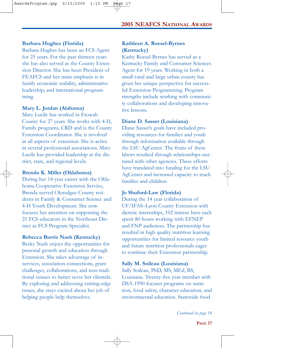#### **Barbara Hughes (Florida)**

Barbara Hughes has been an FCS Agent for 25 years. For the past thirteen years she has also served as the County Extension Director. She has been President of FEAFCS and her main emphasis is in family economic stability, administrative leadership, and international programming.

#### **Mary L. Jordan (Alabama)**

Mary Lucile has worked in Etowah County for 27 years. She works with 4-H, Family programs, CRD and is the County Extension Coordinator. She is involved in all aspects of extension. She is active in several professional associations. Mary Lucile has provided leadership at the district, state, and regional levels.

#### **Brenda K. Miller (Oklahoma)**

During her 14-year career with the Oklahoma Cooperative Extension Service, Brenda served Okmulgee County residents in Family & Consumer Science and 4-H Youth Development. She now focuses her attention on supporting the 21 FCS educators in the Northeast District as FCS Program Specialist.

#### **Rebecca Burris Nash (Kentucky)**

Becky Nash enjoys the opportunities for personal growth and education through Extension. She takes advantage of inservices, association connections, grant challenges, collaborations, and non-traditional venues to better serve her clientele. By exploring and addressing cutting-edge issues, she stays excited about her job of helping people help themselves.

#### **Kathleen A. Roesel-Byrnes (Kentucky)**

Kathy Roesel-Byrnes has served as a Kentucky Family and Consumer Sciences Agent for 19 years. Working in both a small rural and large urban county has given her unique perspective for successful Extension Programming. Program strengths include working with community collaborations and developing innovative lessons.

#### **Diane D. Sasser (Louisiana)**

Diane Sasser's goals have included providing resources for families and youth through information available through the LSU AgCenter. The fruits of these labors resulted through relationships nurtured with other agencies. These efforts have translated into funding for the LSU AgCenter and increased capacity to reach families and children.

#### **Jo Shuford-Law (Florida)**

During the 14 year collaboration of UF/IFAS–Leon County Extension with dietetic internships, 102 interns have each spent 80 hours working with EFNEP and FNP audiences. The partnership has resulted in high quality nutrition learning opportunities for limited resource youth and future nutrition professionals eager to continue their Extension partnership.

#### **Sally M. Soileau (Louisiana)**

Sally Soileau, PhD, MS, MEd, BS, Louisiana. Twenty-five year member with DSA-1990 focuses programs on nutrition, food safety, character education, and environmental education. Statewide food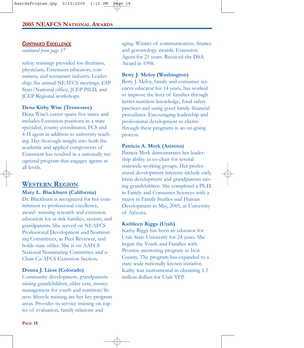#### **CONTINUED EXCELLENCE**

*continued from page 17*

safety trainings provided for dietitians, physicians, Extension educators, consumers, and restaurant industry. Leadership: Six annual NEAFCS meetings, ESP State/National office, JCEP PILD, and JCEP Regional workshops.

#### **Dena Kirby Wise (Tennessee)**

Dena Wise's career spans five states and includes Extension positions as a state specialist, county coordinator, FCS and 4-H agent in addition to university teaching. Her thorough insight into both the academic and applied components of Extension has resulted in a nationally recognized program that engages agents at all levels.

#### **WESTERN REGION**

#### **Mary L. Blackburn (California)**

Dr. Blackburn is recognized for her commitment to professional excellence, award- winning research and extension education for at-risk families, seniors, and grandparents. She served on NEAFCS Professional Development and Nominating Committees, as Peer Reviewer, and holds state office. She is on AAFCS National Nominating Committee and is Chair-Ca-AFCS Extension Section.

#### **Donna J. Liess (Colorado)**

Community development, grandparents raising grandchildren, elder care, money management for youth and nutrition/fitness lifestyle training are her key program areas. Provides in-service training on topics of evaluation, family relations and

aging. Winner of communication, finance and gerontology awards. Extension Agent for 21 years. Received the DSA Award in 1998.

#### **Betty J. Meloy (Washington)**

Betty J. Meloy, family and consumer sciences educator for 14 years, has worked to improve the lives of families through better nutrition knowledge, food safety practices and using good family financial procedures. Encouraging leadership and professional development to clients through these programs is an on-going process.

#### **Patricia A. Merk (Arizona)**

Patricia Merk demonstrates her leadership ability as co-chair for several statewide working groups. Her professional development interests include early brain development and grandparents raising grandchildren. She completed a Ph.D. in Family and Consumer Sciences with a major in Family Studies and Human Development in May, 2005, at University of Arizona.

#### **Kathleen Riggs (Utah)**

Kathy Riggs has been an educator for Utah State University for 24 years. She began the Youth and Families with Promise mentoring program in Iron County. The program has expanded to a state-wide nationally known initiative. Kathy was instrumental in obtaining 1.5 million dollars for Utah YFP.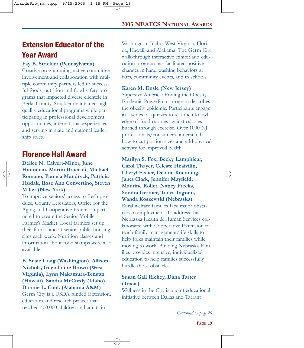### Extension Educator of the Year Award

#### **Fay B. Strickler (Pennsylvania)**

Creative programming, active committee involvement and collaboration with multiple community partners led to successful foods, nutrition and food safety programs that impacted diverse clientele in Berks County. Strickler maintained high quality educational programs while participating in professional development opportunities, international experiences and serving in state and national leadership roles.

### Florence Hall Award

**Deilee N. Calvert-Minor, June Hanrahan, Martin Broccoli, Michael Romano, Pamela Mandryck, Patricia Hudak, Rose Ann Convertino, Steven Miller (New York)**

To improve seniors' access to fresh produce, County Legislators, Office for the Aging and Cooperative Extension partnered to create the Senior Mobile Farmer's Market. Local farmers set up their farm stand at senior public housing sites each week. Nutrition classes and information about food stamps were also available.

**B. Susie Craig (Washington), Allison Nichols, Guendoline Brown (West Virginia), Lynn Nakamura-Tengan (Hawaii), Sandra McCurdy (Idaho), Donnie L. Cook (Alabama A&M)**

Germ City is a USDA funded Extension, education and research project that reached 400,000 children and adults in

Washington, Idaho, West Virginia, Florida, Hawaii, and Alabama. The Germ City walk-through interactive exhibit and education program has facilitated positive changes in hand washing behaviors at fairs, community events, and in schools.

#### **Karen M. Ensle (New Jersey)**

Supersize America: Ending the Obesity Epidemic PowerPoint program describes the obesity epidemic. Participants engage in a series of quizzes to test their knowledge of food calories against calories burned through exercise. Over 1000 NJ professionals/consumers understand how to cut portion sizes and add physical activity for improved health.

**Marilyn S. Fox, Becky Lamphiear, Carol Thayer, Celeste Heaivilin, Cheryl Fisher, Debbie Kuenning, Janet Clark, Jennifer Mayfield, Maurine Roller, Nancy Frecks, Sondra Germer, Tonya Ingram, Wanda Koszewski (Nebraska)** Rural welfare families face major obstacles to employment. To address this, Nebraska Health & Human Services collaborated with Cooperative Extension to teach family management/life skills to help folks maintain their families while moving to work. Building Nebraska Families provides intensive, individualized education to help families successfully hurdle those obstacles.

#### **Susan Gail Richey, Dana Tarter (Texas)**

Wellness in the City is a joint educational initiative between Dallas and Tarrant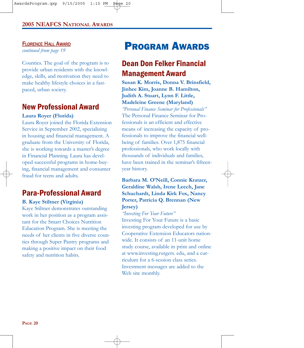#### FLORENCE HALL AWARD

*continued from page 19*

Counties. The goal of the program is to provide urban residents with the knowledge, skills, and motivation they need to make healthy lifestyle choices in a fastpaced, urban society.

### New Professional Award

#### **Laura Royer (Florida)**

Laura Royer joined the Florida Extension Service in September 2002, specializing in housing and financial management. A graduate from the University of Florida, she is working towards a master's degree in Financial Planning. Laura has developed successful programs in home-buying, financial management and consumer fraud for teens and adults.

### Para-Professional Award

#### **B. Kaye Stiltner (Virginia)**

Kaye Stiltner demonstrates outstanding work in her position as a program assistant for the Smart Choices Nutrition Education Program. She is meeting the needs of her clients in five diverse counties through Super Pantry programs and making a positive impact on their food safety and nutrition habits.

# PROGRAM AWARDS

### Dean Don Felker Financial Management Award

**Susan K. Morris, Donna V. Brinsfield, Jinhee Kim, Joanne B. Hamilton, Judith A. Stuart, Lynn F. Little, Madeleine Greene (Maryland)**

*"Personal Finance Seminar for Professionals"* The Personal Finance Seminar for Professionals is an efficient and effective means of increasing the capacity of professionals to improve the financial wellbeing of families. Over 1,875 financial professionals, who work locally with thousands of individuals and families, have been trained in the seminar's fifteenyear history.

**Barbara M. O'Neill, Connie Kratzer, Geraldine Walsh, Irene Leech, Jane Schuchardt, Linda Kirk Fox, Nancy Porter, Patricia Q. Brennan (New Jersey)**

*"Investing For Your Future"* Investing For Your Future is a basic investing program developed for use by Cooperative Extension Educators nationwide. It consists of an 11-unit home study course, available in print and online at www.investing.rutgers. edu, and a curriculum for a 6-session class series. Investment messages are added to the Web site monthly.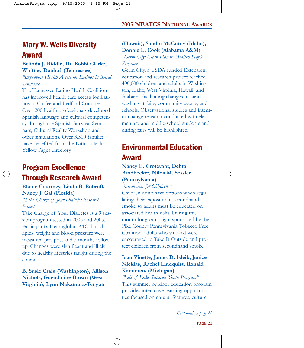### Mary W. Wells Diversity Award

#### **Belinda J. Riddle, Dr. Bobbi Clarke, Whitney Danhof (Tennessee)**

*"Improving Health Access for Latinos in Rural Tennessee"*

The Tennessee Latino Health Coalition has improved health care access for Latinos in Coffee and Bedford Counties. Over 200 health professionals developed Spanish language and cultural competency through the Spanish Survival Seminars, Cultural Reality Workshop and other simulations. Over 3,500 families have benefited from the Latino Health Yellow Pages directory.

### Program Excellence Through Research Award

#### **Elaine Courtney, Linda B. Bobroff, Nancy J. Gal (Florida)**

*"Take Charge of your Diabetes Research Project"*

Take Charge of Your Diabetes is a 9 session program tested in 2003 and 2005. Participant's Hemoglobin A1C, blood lipids, weight and blood pressure were measured pre, post and 3 months followup. Changes were significant and likely due to healthy lifestyles taught during the course.

**B. Susie Craig (Washington), Allison Nichols, Guendoline Brown (West Virginia), Lynn Nakamura-Tengan**

#### **(Hawaii), Sandra McCurdy (Idaho), Donnie L. Cook (Alabama A&M)**

*"Germ City: Clean Hands, Healthy People Program"*

Germ City, a USDA funded Extension, education and research project reached 400,000 children and adults in Washington, Idaho, West Virginia, Hawaii, and Alabama facilitating changes in handwashing at fairs, community events, and schools. Observational studies and intentto-change research conducted with elementary and middle-school students and during fairs will be highlighted.

### Environmental Education Award

#### **Nancy E. Grotevant, Debra Brodhecker, Nilda M. Sessler (Pennsylvania)**

*"Clean Air for Children "*

Children don't have options when regulating their exposure to secondhand smoke so adults must be educated on associated health risks. During this month-long campaign, sponsored by the Pike County Pennsylvania Tobacco Free Coalition, adults who smoked were encouraged to Take It Outside and protect children from secondhand smoke.

#### **Joan Vinette, James D. Isleib, Janice Nicklas, Rachel Lindquist, Ronald Kinnunen, (Michigan)**

*"Life of Lake Superior Youth Program"* This summer outdoor education program provides interactive learning opportunities focused on natural features, culture,

*Continued on page 22*

**PAGE 21**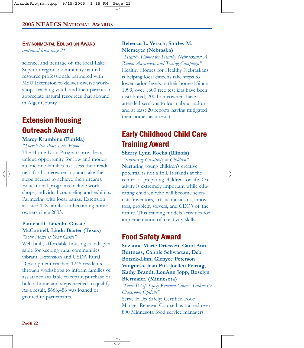#### ENVIRONMENTAL EDUCATION AWARD

*continued from page 21*

science, and heritage of the local Lake Superior region. Community natural resource professionals partnered with MSU Extension to deliver diverse workshops teaching youth and their parents to appreciate natural resources that abound in Alger County.

### Extension Housing Outreach Award

#### **Marcy Krumbine (Florida)**

*"There's No Place Like Home"*

The Home Loan Program provides a unique opportunity for low and moderate-income families to assess their readiness for homeownership and take the steps needed to achieve their dreams. Educational programs include workshops, individual counseling and exhibits. Partnering with local banks, Extension assisted 118 families in becoming homeowners since 2003.

#### **Pamela D. Lincoln, Gussie McConnell, Linda Baxter (Texas)**

*"Your Home is Your Castle"* Well-built, affordable housing is indispensable for keeping rural communities vibrant. Extension and USDA Rural Development reached 1245 residents through workshops to inform families of assistance available to repair, purchase or buld a home and steps needed to qualify. As a result, \$666,456 was loaned or granted to participants.

#### **Rebecca L. Versch, Shirley M. Niemeyer (Nebraska)**

*"Healthy Homes for Healthy Nebraskans: A Radon Awareness and Testing Campaign"* Healthy Homes for Healthy Nebraskans is helping local citizens take steps to lower radon levels in their homes! Since 1999, over 1600 free test kits have been distributed, 200 homeowners have attended sessions to learn about radon and at least 20 reports having mitigated their homes as a result.

### Early Childhood Child Care Training Award

#### **Sherry Lynn Rocha (Illinois)**

*"Nurturing Creativity in Children"* Nurturing young children's creative potential is not a frill. It stands at the center of preparing children for life. Creativity is extremely important while educating children who will become scientists, inventors, artists, musicians, innovators, problem solvers, and CEO's of the future. This training models activities for implementation of creativity skills.

### Food Safety Award

**Suzanne Marie Driessen, Carol Ann Burtness, Connie Schwartau, Deb Botzek-Linn, Glenyce Peterson Vangness, Jean Pitt, Joellen Feirtag, Kathy Brandt, LouAnn Jopp, Roselyn Biermaier, (Minnesota)**

*"Serve It Up Safely Renewal Course: Online & Classroom Options"* Serve It Up Safely: Certified Food Manger Renewal Course has trained over 800 Minnesota food service managers.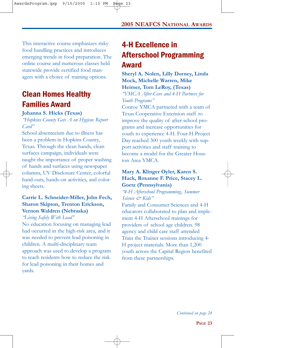This interactive course emphasizes risky food handling practices and introduces emerging trends in food preparation. The online course and numerous classes held statewide provide certified food managers with a choice of training options.

### Clean Homes Healthy Families Award

#### **Johanna S. Hicks (Texas)**

*"Hopkins County Gets A on Hygiene Report Card"*

School absenteeism due to illness has been a problem in Hopkins County, Texas. Through the clean hands, clean surfaces campaign, individuals were taught the importance of proper washing of hands and surfaces using newspaper columns, UV Disclosure Center, colorful hand-outs, hands-on activities, and coloring sheets.

#### **Carrie L. Schneider-Miller, John Fech, Sharon Skipton, Trenton Erickson, Vernon Waldren (Nebraska)**

*"Living Safely With Lead"*

No education focusing on managing lead had occurred in the high-risk area, and it was needed to prevent lead poisoning in children. A multi-disciplinary team approach was used to develop a program to teach residents how to reduce the risk for lead poisoning in their homes and yards.

### 4-H Excellence in Afterschool Programming Award

**Sheryl A. Nolen, Lilly Dorney, Linda Mock, Michelle Warren, Mike Heimer, Tom LeRoy, (Texas)**

*"YMCA After-Care and 4-H Partners for Youth Programs"*

Conroe YMCA partnered with a team of Texas Cooperative Extension staff to improve the quality of after-school programs and increase opportunities for youth to experience 4-H. Four-H Project Day reached 300 youth weekly with support activities and staff training to become a model for the Greater Houston Area YMCA.

#### **Mary A. Klinger Oyler, Karen S. Hack, Roxanne F. Price, Stacey L. Goetz (Pennsylvania)**

*"4-H Afterschool Programming, Summer Science & Kids"*

Family and Consumer Sciences and 4-H educators collaborated to plan and implement 4-H Afterschool trainings for providers of school age children. 98 agency and child care staff attended Train the Trainer sessions introducing 4- H project materials. More than 1,200 youth across the Capital Region benefited from these partnerships.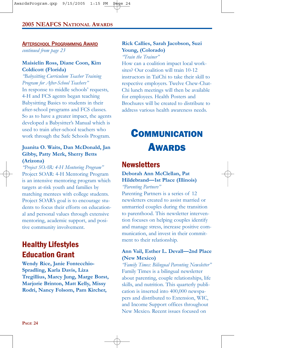#### AFTERSCHOOL PROGRAMMING AWARD

*continued from page 23*

#### **Maisielin Ross, Diane Coon, Kim Coldicott (Florida)**

*"Babysitting Curriculum Teacher Training Program for After-School Teachers"* In response to middle schools' requests, 4-H and FCS agents began teaching Babysitting Basics to students in their after-school programs and FCS classes. So as to have a greater impact, the agents developed a Babysitter's Manual which is used to train after-school teachers who work through the Safe Schools Program.

#### **Juanita O. Waits, Dan McDonald, Jan Gibby, Patty Merk, Sherry Betts (Arizona)**

*"Project SOAR: 4-H Mentoring Program"* Project SOAR: 4-H Mentoring Program is an intensive mentoring program which targets at-risk youth and families by matching mentees with college students. Project SOAR's goal is to encourage students to focus their efforts on educational and personal values through extensive mentoring, academic support, and positive community involvement.

### Healthy Lifestyles Education Grant

**Wendy Rice, Janie Fontecchio-Spradling, Karla Davis, Liza Tregillius, Marcy Jung, Marge Borst, Marjorie Brinton, Matt Kelly, Missy Rodri, Nancy Folsom, Pam Kircher,**

#### **Rick Callies, Sarah Jacobson, Suzi Young, (Colorado)**

*"Train the Trainer"*

How can a coalition impact local worksites? Our coalition will train 10-12 instructors in TaiChi to take their skill to respective employers. Twelve Chew-Chat-Chi lunch meetings will then be available for employees. Health Posters and Brochures will be created to distribute to address various health awareness needs.

# **COMMUNICATION** AWARDS

### **Newsletters**

#### **Deborah Ann McClellan, Pat Hildebrand—1st Place (Illinois)** *"Parenting Partners"*

Parenting Partners is a series of 12 newsletters created to assist married or unmarried couples during the transition to parenthood. This newsletter intervention focuses on helping couples identify and manage stress, increase positive communication, and invest in their commitment to their relationship.

#### **Ann Vail, Esther L. Devall—2nd Place (New Mexico)**

*"Family Times: Bilingual Parenting Newsletter"* Family Times is a bilingual newsletter about parenting, couple relationships, life skills, and nutrition. This quarterly publication is inserted into 400,000 newspapers and distributed to Extension, WIC, and Income Support offices throughout New Mexico. Recent issues focused on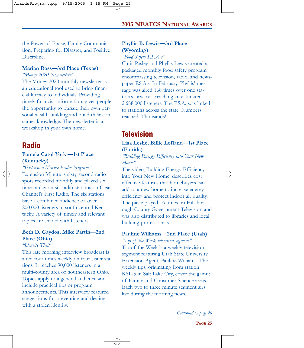the Power of Praise, Family Communication, Preparing for Disaster, and Positive Discipline.

#### **Marian Ross—3rd Place (Texas)**

#### *"Money 2020 Newsletters"*

The Money 2020 monthly newsletter is an educational tool used to bring financial literacy to individuals. Providing timely financial information, gives people the opportunity to pursue their own personal wealth building and build their consumer knowledge. The newsletter is a workshop in your own home.

### Radio

#### **Pamela Carol York —1st Place (Kentucky)**

*"Extension Minute Radio Program"* Extension Minute is sixty second radio spots recorded monthly and played six times a day on six radio stations on Clear Channel's First Radio. The six stations have a combined audience of over 200,000 listeners in south central Kentucky. A variety of timely and relevant topics are shared with listeners.

#### **Beth D. Gaydos, Mike Partin—2nd Place (Ohio)**

#### *"Identity Theft"*

This late morning interview broadcast is aired four times weekly on four sister stations. It reaches 90,000 listeners in a multi-county area of southeastern Ohio. Topics apply to a general audience and include practical tips or program announcements. This interview featured suggestions for preventing and dealing with a stolen identity.

#### **Phyllis B. Lewis—3rd Place (Wyoming)**

*"Food Safety P.S.A.s"*

Chris Pasley and Phyllis Lewis created a packaged monthly food safety program encompassing television, radio, and newspaper P.S.A.s. In February, Phyllis' message was aired 168 times over one station's airwaves, reaching an estimated 2,688,000 listeners. The P.S.A. was linked to stations across the state. Numbers reached: Thousands!

### Television

#### **Lisa Leslie, Billie Lofland—1st Place (Florida)**

*"Building Energy Efficiency into Your New Home"*

The video, Building Energy Efficiency into Your New Home, describes cost effective features that homebuyers can add to a new home to increase energy efficiency and protect indoor air quality. The piece played 16 times on Hillsborough County Government Television and was also distributed to libraries and local building professionals.

#### **Pauline Williams—2nd Place (Utah)**

*"Tip of the Week television segment"* Tip of the Week is a weekly television segment featuring Utah State University Extension Agent, Pauline Williams. The weekly tips, originating from station KSL-5 in Salt Lake City, cover the gamut of Family and Consumer Science areas. Each two to three minute segment airs live during the morning news.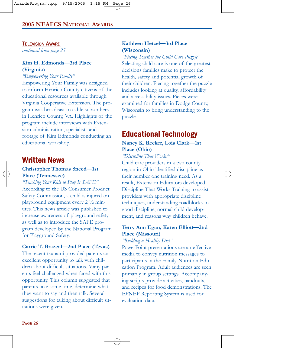#### TELEVISION AWARD

*continued from page 25*

#### **Kim H. Edmonds—3rd Place (Virginia)**

#### *"Empowering Your Family"*

Empowering Your Family was designed to inform Henrico County citizens of the educational resources available through Virginia Cooperative Extension. The program was broadcast to cable subscribers in Henrico County, VA. Highlights of the program include interviews with Extension administration, specialists and footage of Kim Edmonds conducting an educational workshop.

### Written News

#### **Christopher Thomas Sneed—1st Place (Tennessee)**

*"Teaching Your Kids to Play It SAFE"* According to the US Consumer Product Safety Commission, a child is injured on playground equipment every 2 ½ minutes. This news article was published to increase awareness of playground safety as well as to introduce the SAFE program developed by the National Program for Playground Safety.

#### **Carrie T. Brazeal—2nd Place (Texas)**

The recent tsunami provided parents an excellent opportunity to talk with children about difficult situations. Many parents feel challenged when faced with this opportunity. This column suggested that parents take some time, determine what they want to say and then talk. Several suggestions for talking about difficult situations were given.

#### **Kathleen Hetzel—3rd Place (Wisconsin)**

*"Piecing Together the Child Care Puzzle"* Selecting child care is one of the greatest decisions families make to protect the health, safety and potential growth of their children. Piecing together the puzzle includes looking at quality, affordability and accessibility issues. Pieces were examined for families in Dodge County, Wisconsin to bring understanding to the puzzle.

### Educational Technology

#### **Nancy K. Recker, Lois Clark—1st Place (Ohio)**

*"Discipline That Works"*

Child care providers in a two county region in Ohio identified discipline as their number one training need. As a result, Extension Educators developed Discipline That Works Training to assist providers with appropriate discipline techniques, understanding roadblocks to good discipline, normal child development, and reasons why children behave.

#### **Terry Ann Egan, Karen Elliott—2nd Place (Missouri)**

*"Building a Healthy Diet"*

PowerPoint presentations are an effective media to convey nutrition messages to participants in the Family Nutrition Education Program. Adult audiences are seen primarily in group settings. Accompanying scripts provide activities, handouts, and recipes for food demonstrations. The EFNEP Reporting System is used for evaluation data.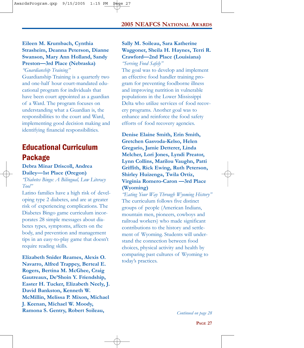#### **Eileen M. Krumbach, Cynthia Strasheim, Deanna Peterson, Dianne Swanson, Mary Ann Holland, Sandy Preston—3rd Place (Nebraska)**

*"Guardianship Training"*

Guardianship Training is a quarterly two and one-half hour court-mandated educational program for individuals that have been court appointed as a guardian of a Ward. The program focuses on understanding what a Guardian is, the responsibilities to the court and Ward, implementing good decision making and identifying financial responsibilities.

### Educational Curriculum Package

**Debra Minar Driscoll, Andrea Dailey—1st Place (Oregon)** *"Diabetes Bingo: A Bilingual, Low Literacy Tool"*

Latino families have a high risk of developing type 2 diabetes, and are at greater risk of experiencing complications. The Diabetes Bingo game curriculum incorporates 28 simple messages about diabetes types, symptoms, affects on the body, and prevention and management tips in an easy-to-play game that doesn't require reading skills.

**Elizabeth Snider Reames, Alexis O. Navarro, Alfred Trappey, Berteal E. Rogers, Bertina M. McGhee, Craig Gautreaux, De'Shoin Y. Friendship, Easter H. Tucker, Elizabeth Neely, J. David Bankston, Kenneth W. McMillin, Melissa P. Mixon, Michael J. Keenan, Michael W. Moody, Ramona S. Gentry, Robert Soileau,**

#### **Sally M. Soileau, Sara Katherine Waggoner, Sheila H. Haynes, Terri R. Crawford—2nd Place (Louisiana)** *"Serving Food Safely"*

The goal was to develop and implement an effective food handler training program for preventing foodborne illness and improving nutrition in vulnerable populations in the Lower Mississippi Delta who utilize services of food recovery programs. Another goal was to enhance and reinforce the food safety efforts of food recovery agencies.

**Denise Elaine Smith, Erin Smith, Gretchen Gasvoda-Kelso, Helen Gregario, Jamie Detterer, Linda Melcher, Lori Jones, Lyndi Preator, Lynn Collins, Marilou Vaughn, Patti Griffith, Rick Ewing, Ruth Peterson, Shirley Huizenga, Twila Ortiz, Virginia Romero-Caron —3rd Place (Wyoming)**

*"Eating Your Way Through Wyoming History"* The curriculum follows five distinct groups of people (American Indians, mountain men, pioneers, cowboys and railroad workers) who made significant contributions to the history and settlement of Wyoming. Students will understand the connection between food choices, physical activity and health by comparing past cultures of Wyoming to today's practices.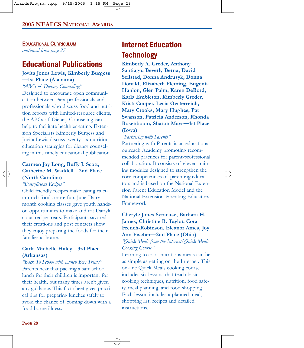#### EDUCATIONAL CURRICULUM

*continued from page 27*

### Educational Publications

#### **Jovita Jones Lewis, Kimberly Burgess —1st Place (Alabama)**

*"ABCs of Dietary Counseling"*

Designed to encourage open communication between Para-professionals and professionals who discuss food and nutrition reports with limited-resource clients, the ABCs of Dietary Counseling can help to facilitate healthier eating. Extension Specialists Kimberly Burgess and Jovita Lewis discuss twenty-six nutrition education strategies for dietary counseling in this timely educational publication.

#### **Carmen Joy Long, Buffy J. Scott, Catherine M. Waddell—2nd Place (North Carolina)**

#### *"Dairylicious Recipes"*

Child friendly recipes make eating calcium rich foods more fun. June Dairy month cooking classes gave youth handson opportunities to make and eat Dairylicious recipe treats. Participants savored their creations and post contacts show they enjoy preparing the foods for their families at home.

#### **Carla Michelle Haley—3rd Place (Arkansas)**

*"Back To School with Lunch Box Treats"* Parents hear that packing a safe school lunch for their children is important for their health, but many times aren't given any guidance. This fact sheet gives practical tips for preparing lunches safely to avoid the chance of coming down with a food borne illness.

### Internet Education **Technology**

**Kimberly A. Greder, Anthony Santiago, Beverly Berna, David Seilstad, Donna Andrusyk, Donna Donald, Elizabeth Fleming, Eugenia Hanlon, Glen Palm, Karen DeBord, Karla Embleton, Kimberly Greder, Kristi Cooper, Lesia Oesterreich, Mary Crooks, Mary Hughes, Pat Swanson, Patricia Anderson, Rhonda Rosenboom, Sharon Mays—1st Place (Iowa)**

#### *"Partnering with Parents"*

Partnering with Parents is an educational outreach Academy promoting recommended practices for parent-professional collaboration. It consists of eleven training modules designed to strengthen the core competencies of parenting educators and is based on the National Extension Parent Education Model and the National Extension Parenting Educators' Framework.

### **Cheryle Jones Syracuse, Barbara H. James, Christine B. Taylor, Cora French-Robinson, Eleanor Ames, Joy Ann Fischer—2nd Place (Ohio)**

*"Quick Meals from the Internet/Quick Meals Cooking Course"*

Learning to cook nutritious meals can be as simple as getting on the Internet. This on-line Quick Meals cooking course includes six lessons that teach basic cooking techniques, nutrition, food safety, meal planning, and food shopping. Each lesson includes a planned meal, shopping list, recipes and detailed instructions.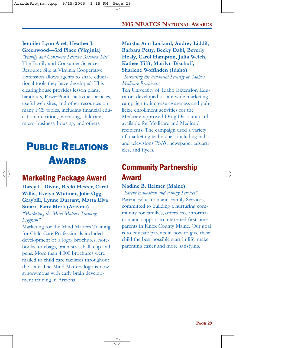

#### **Jennifer Lynn Abel, Heather J. Greenwood—3rd Place (Virginia)**

*"Family and Consumer Sciences Resource Site"* The Family and Consumer Sciences Resource Site at Virginia Cooperative Extension allows agents to share educational tools they have developed. This clearinghouse provides lesson plans, handouts, PowerPoints, activities, articles, useful web sites, and other resources on many FCS topics, including financial education, nutrition, parenting, childcare, micro-business, housing, and others.

# PUBLIC RELATIONS AWARDS

### Marketing Package Award

**Darcy L. Dixon, Becki Hester, Carol Willis, Evelyn Whitmer, Jolie Ogg Graybill, Lynne Durrant, Marta Elva Stuart, Patty Merk (Arizona)**

*"Marketing the Mind Matters Training Program"*

Marketing for the Mind Matters Training for Child Care Professionals included development of a logo, brochures, notebooks, totebags, brain stressball, cup and pens. More than 4,000 brochures were mailed to child care facilities throughout the state. The Mind Matters logo is now synonymous with early brain development training in Arizona.

**Marsha Ann Lockard, Audrey Liddil, Barbara Petty, Becky Dahl, Beverly Healy, Carol Hampton, Julia Welch, Kathee Tifft, Marilyn Bischoff, Sharlene Woffinden (Idaho)**

*"Increasing the Financial Security of Idaho's Medicare Recipients"*

Ten University of Idaho Extension Educators developed a state-wide marketing campaign to increase awareness and publicize enrollment activities for the Medicare-approved Drug Discount cards available for Medicare and Medicaid recipients. The campaign used a variety of marketing techniques; including radio and televisions PSA's, newspaper ads,articles, and flyers.

### Community Partnership Award

#### **Nadine B. Reimer (Maine)**

*"Parent Education and Family Services"* Parent Education and Family Services, committed to building a nurturing community for families, offers free information and support to interested first-time parents in Knox County Maine. Our goal is to educate parents in how to give their child the best possible start in life, make parenting easier and more satisfying.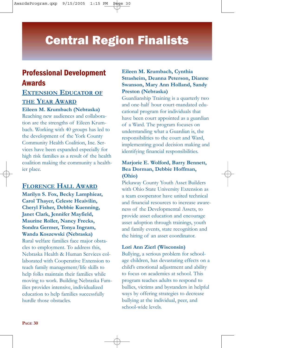# Central Region Finalists

### Professional Development Awards

### **EXTENSION EDUCATOR OF THE YEAR AWARD**

#### **Eileen M. Krumbach (Nebraska)**

Reaching new audiences and collaboration are the strengths of Eileen Krumbach. Working with 40 groups has led to the development of the York County Community Health Coalition, Inc. Services have been expanded especially for high risk families as a result of the health coalition making the community a healthier place.

#### **FLORENCE HALL AWARD**

**Marilyn S. Fox, Becky Lamphiear, Carol Thayer, Celeste Heaivilin, Cheryl Fisher, Debbie Kuenning, Janet Clark, Jennifer Mayfield, Maurine Roller, Nancy Frecks, Sondra Germer, Tonya Ingram, Wanda Koszewski (Nebraska)**  Rural welfare families face major obstacles to employment. To address this, Nebraska Health & Human Services collaborated with Cooperative Extension to teach family management/life skills to help folks maintain their families while moving to work. Building Nebraska Families provides intensive, individualized education to help families successfully hurdle those obstacles.

#### **Eileen M. Krumbach, Cynthia Strasheim, Deanna Peterson, Dianne Swanson, Mary Ann Holland, Sandy Preston (Nebraska)**

Guardianship Training is a quarterly two and one-half hour court-mandated educational program for individuals that have been court appointed as a guardian of a Ward. The program focuses on understanding what a Guardian is, the responsibilities to the court and Ward, implementing good decision making and identifying financial responsibilities.

#### **Marjorie E. Wolford, Barry Bennett, Bea Dorman, Debbie Hoffman, (Ohio)**

Pickaway County Youth Asset Builders with Ohio State University Extension as a team cooperator have united technical and financial resources to increase awareness of the Developmental Assets, to provide asset education and encourage asset adoption through trainings, youth and family events, state recognition and the hiring of an asset coordinator.

#### **Lori Ann Zierl (Wisconsin)**

Bullying, a serious problem for schoolage children, has devastating effects on a child's emotional adjustment and ability to focus on academics at school. This program teaches adults to respond to bullies, victims and bystanders in helpful ways by offering strategies to decrease bullying at the individual, peer, and school-wide levels.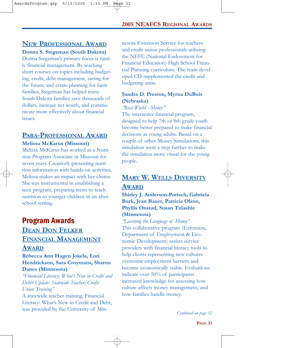### **NEW PROFESSIONAL AWARD**

**Donna S. Stegeman (South Dakota)**  Donna Stegeman's primary focus is family financial management. By teaching short courses on topics including budgeting, credit, debt management, saving for the future, and estate planning for farm families, Stegeman has helped many South Dakota families save thousands of dollars, increase net worth, and communicate more effectively about financial issues.

### **PARA-PROFESSIONAL AWARD**

#### **Melissa McKarus (Missouri)**

Melissa McKarus has worked as a Nutrition Program Associate in Missouri for seven years. Creatively presenting nutrition information with hands-on activities, Melissa makes an impact with her clients. She was instrumental in establishing a teen program, preparing teens to teach nutrition to younger children in an afterschool setting.

### Program Awards **DEAN DON FELKER FINANCIAL MANAGEMENT AWARD**

#### **Rebecca Ann Hagen Jokela, Lori Hendrickson, Sara Croymans, Sharon Danes (Minnesota)**

*"Financial Literacy: What's New in Credit and Debt? Update: Statewide Teacher/Credit Union Training"*

A statewide teacher training, Financial Literacy: What's New in Credit and Debt, was provided by the University of Minnesota Extension Service for teachers and credit union professionals utilizing the NEFE (National Endowment for Financial Education) High School Financial Planning curriculum. The team developed CD supplemented the credit and budgeting units.

#### **Sandra D. Preston, Myrna DuBois (Nebraska)**

#### *"Real World - Money"*

The interactive financial program, designed to help 7th or 8th grade youth become better prepared to make financial decisions as young adults. Based on a couple of other Money Simulations, this simulation went a step further to make the simulation more visual for the young people.

### **MARY W. WELLS DIVERSITY AWARD**

**Shirley J. Anderson-Porisch, Gabriela Burk, Jean Bauer, Patricia Olson, Phyllis Onstad, Susan Tulashie (Minnesota)** 

*"Learning the Language of Money"* This collaborative program (Extension, Department of Employment & Economic Development) assists service providers with financial literacy tools to help clients representing new cultures overcome employment barriers and become economically stable. Evaluations indicate over 50% of participants increased knowledge for assessing how culture affects money management, and how families handle money.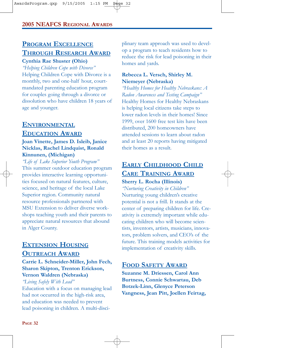### **PROGRAM EXCELLENCE THROUGH RESEARCH AWARD**

#### **Cynthia Rae Shuster (Ohio)**

*"Helping Children Cope with Divorce"* Helping Children Cope with Divorce is a monthly, two and one-half hour, courtmandated parenting education program for couples going through a divorce or dissolution who have children 18 years of age and younger.

### **ENVIRONMENTAL EDUCATION AWARD**

#### **Joan Vinette, James D. Isleib, Janice Nicklas, Rachel Lindquist, Ronald Kinnunen, (Michigan)**

*"Life of Lake Superior Youth Program"* This summer outdoor education program provides interactive learning opportunities focused on natural features, culture, science, and heritage of the local Lake Superior region. Community natural resource professionals partnered with MSU Extension to deliver diverse workshops teaching youth and their parents to appreciate natural resources that abound in Alger County.

### **EXTENSION HOUSING OUTREACH AWARD**

#### **Carrie L. Schneider-Miller, John Fech, Sharon Skipton, Trenton Erickson, Vernon Waldren (Nebraska)**

*"Living Safely With Lead"* Education with a focus on managing lead had not occurred in the high-risk area, and education was needed to prevent lead poisoning in children. A multi-disci-

plinary team approach was used to develop a program to teach residents how to reduce the risk for lead poisoning in their homes and yards.

#### **Rebecca L. Versch, Shirley M. Niemeyer (Nebraska)**

*"Healthy Homes for Healthy Nebraskans: A Radon Awareness and Testing Campaign"* Healthy Homes for Healthy Nebraskans is helping local citizens take steps to lower radon levels in their homes! Since 1999, over 1600 free test kits have been distributed, 200 homeowners have attended sessions to learn about radon and at least 20 reports having mitigated their homes as a result.

### **EARLY CHILDHOOD CHILD CARE TRAINING AWARD**

**Sherry L. Rocha (Illinois)** 

*"Nurturing Creativity in Children"* Nurturing young children's creative potential is not a frill. It stands at the center of preparing children for life. Creativity is extremely important while educating children who will become scientists, inventors, artists, musicians, innovators, problem solvers, and CEO's of the future. This training models activities for implementation of creativity skills.

### **FOOD SAFETY AWARD**

**Suzanne M. Driessen, Carol Ann Burtness, Connie Schwartau, Deb Botzek-Linn, Glenyce Peterson Vangness, Jean Pitt, Joellen Feirtag,**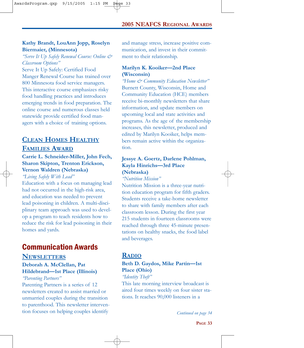#### **Kathy Brandt, LouAnn Jopp, Roselyn Biermaier, (Minnesota)**

*"Serve It Up Safely Renewal Course: Online & Classroom Options"*

Serve It Up Safely: Certified Food Manger Renewal Course has trained over 800 Minnesota food service managers. This interactive course emphasizes risky food handling practices and introduces emerging trends in food preparation. The online course and numerous classes held statewide provide certified food managers with a choice of training options.

### **CLEAN HOMES HEALTHY FAMILIES AWARD**

### **Carrie L. Schneider-Miller, John Fech, Sharon Skipton, Trenton Erickson, Vernon Waldren (Nebraska)**

*"Living Safely With Lead"*

Education with a focus on managing lead had not occurred in the high-risk area, and education was needed to prevent lead poisoning in children. A multi-disciplinary team approach was used to develop a program to teach residents how to reduce the risk for lead poisoning in their homes and yards.

### Communication Awards

#### **NEWSLETTERS**

#### **Deborah A. McClellan, Pat Hildebrand—1st Place (Illinois)**  *"Parenting Partners"*

Parenting Partners is a series of 12 newsletters created to assist married or unmarried couples during the transition to parenthood. This newsletter intervention focuses on helping couples identify

and manage stress, increase positive communication, and invest in their commitment to their relationship.

#### **Marilyn K. Kooiker—2nd Place (Wisconsin)**

*"Home & Community Education Newsletter"* Burnett County, Wisconsin, Home and Community Education (HCE) members receive bi-monthly newsletters that share information, and update members on upcoming local and state activities and programs. As the age of the membership increases, this newsletter, produced and edited by Marilyn Kooiker, helps members remain active within the organization.

#### **Jessye A. Goertz, Darlene Pohlman, Kayla Hinrichs—3rd Place (Nebraska)**

*"Nutrition Mission"*

Nutrition Mission is a three-year nutrition education program for fifth graders. Students receive a take-home newsletter to share with family members after each classroom lesson. During the first year 215 students in fourteen classrooms were reached through three 45-minute presentations on healthy snacks, the food label and beverages.

#### **RADIO**

#### **Beth D. Gaydos, Mike Partin—1st Place (Ohio)**

*"Identity Theft"*

This late morning interview broadcast is aired four times weekly on four sister stations. It reaches 90,000 listeners in a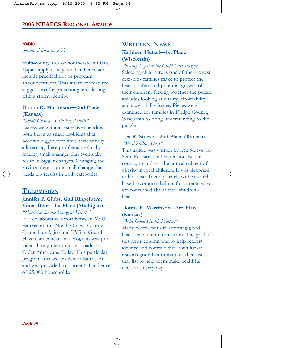#### **RADIO**

*continued from page 33*

multi-county area of southeastern Ohio. Topics apply to a general audience and include practical tips or program announcements. This interview featured suggestions for preventing and dealing with a stolen identity.

#### **Donna R. Martinson—2nd Place (Kansas)**

*"Small Changes Yield Big Results"* Excess weight and excessive spending both begin as small problems that become bigger over time. Successfully addressing these problems begins by making small changes that eventually result in bigger changes. Changing the environment is one small change that yields big results in both categories.

#### **TELEVISION**

#### **Jinnifer P. Gibbs, Gail Ringelberg, Vince Deur—1st Place (Michigan)**

*"Nutrition for the Young at Heart."* In a collaborative effort between MSU Extension, the North Ottawa County Council on Aging and TV5 in Grand Haven, an educational program was provided during the monthly broadcast, Older Americans Today. This particular program focused on Senior Nutrition and was provided to a potential audience of 25,000 households.

#### **WRITTEN NEWS**

#### **Kathleen Hetzel—1st Place (Wisconsin)**

*"Piecing Together the Child Care Puzzle"* Selecting child care is one of the greatest decisions families make to protect the health, safety and potential growth of their children. Piecing together the puzzle includes looking at quality, affordability and accessibility issues. Pieces were examined for families in Dodge County, Wisconsin to bring understanding to the puzzle.

#### **Lea R. Stueve—2nd Place (Kansas)**  *"Weed Pulling Days"*

This article was written by Lea Stueve, K-State Research and Extension-Butler county, to address the critical subject of obesity in local children. It was designed to be a user-friendly article with researchbased recommendations for parents who are concerned about their children's health.

#### **Donna R. Martinson—3rd Place (Kansas)**

*"Why Good Health Matters"* Many people put off adopting good health habits until tomorrow. The goal of this news column was to help readers identify and compile their own list of reasons good health matters, then use that list to help them make healthful decisions every day.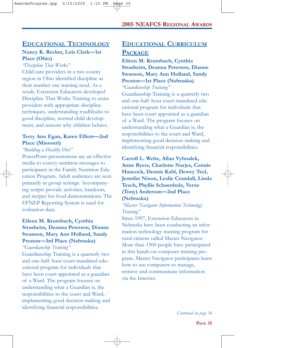#### **EDUCATIONAL TECHNOLOGY**

#### **Nancy K. Recker, Lois Clark—1st Place (Ohio)**

#### *"Discipline That Works"*

Child care providers in a two county region in Ohio identified discipline as their number one training need. As a result, Extension Educators developed Discipline That Works Training to assist providers with appropriate discipline techniques, understanding roadblocks to good discipline, normal child development, and reasons why children behave.

#### **Terry Ann Egan, Karen Elliott—2nd Place (Missouri)**

#### *"Building a Healthy Diet"*

PowerPoint presentations are an effective media to convey nutrition messages to participants in the Family Nutrition Education Program. Adult audiences are seen primarily in group settings. Accompanying scripts provide activities, handouts, and recipes for food demonstrations. The EFNEP Reporting System is used for evaluation data.

#### **Eileen M. Krumbach, Cynthia Strasheim, Deanna Peterson, Dianne Swanson, Mary Ann Holland, Sandy Preston—3rd Place (Nebraska)**

*"Guardianship Training"*

Guardianship Training is a quarterly two and one-half hour court-mandated educational program for individuals that have been court appointed as a guardian of a Ward. The program focuses on understanding what a Guardian is, the responsibilities to the court and Ward, implementing good decision making and identifying financial responsibilities.

### **EDUCATIONAL CURRICULUM PACKAGE**

**Eileen M. Krumbach, Cynthia Strasheim, Deanna Peterson, Dianne Swanson, Mary Ann Holland, Sandy Preston—1st Place (Nebraska)** 

#### *"Guardianship Training"*

Guardianship Training is a quarterly two and one-half hour court-mandated educational program for individuals that have been court appointed as a guardian of a Ward. The program focuses on understanding what a Guardian is, the responsibilities to the court and Ward, implementing good decision making and identifying financial responsibilities.

**Carroll L. Welte, Allan Vyhnalek, Anne Byers, Charlotte Narjes, Connie Hancock, Dennis Kahl, Dewey Teel, Jennifer Nixon, Leslie Crandall, Linda Tesch, Phyllis Schoenholz, Verne (Tony) Anderson—2nd Place (Nebraska)** 

*"Master Navigator Information Technology Training"*

Since 1997, Extension Educators in Nebraska have been conducting an information technology training program for rural citizens called Master Navigator. More than 1500 people have participated in this hands-on computer training program. Master Navigator participants learn how to use computers to manage, retrieve and communicate information via the Internet.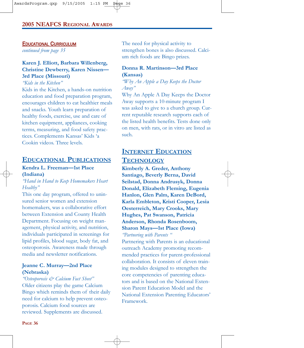#### EDUCATIONAL CURRICULUM

*continued from page 35*

#### **Karen J. Elliott, Barbara Willenberg, Christine Dewberry, Karen Nissen— 3rd Place (Missouri)**

*"Kids in the Kitchen"*

Kids in the Kitchen, a hands-on nutrition education and food preparation program, encourages children to eat healthier meals and snacks. Youth learn preparation of healthy foods, exercise, use and care of kitchen equipment, appliances, cooking terms, measuring, and food safety practices. Complements Kansas' Kids 'a Cookin videos. Three levels.

#### **EDUCATIONAL PUBLICATIONS**

#### **Kendra L. Freeman—1st Place (Indiana)**

#### *"Hand in Hand to Keep Homemakers Heart Healthy"*

This one day program, offered to uninsured senior women and extension homemakers, was a collaborative effort between Extension and County Health Department. Focusing on weight management, physical activity, and nutrition, individuals participated in screenings for lipid profiles, blood sugar, body fat, and osteoporosis. Awareness made through media and newsletter notifications.

#### **Jeanne C. Murray—2nd Place (Nebraska)**

*"Osteoporosis & Calcium Fact Sheet"* Older citizens play the game Calcium Bingo which reminds them of their daily need for calcium to help prevent osteoporosis. Calcium food sources are reviewed. Supplements are discussed.

The need for physical activity to strengthen bones is also discussed. Calcium rich foods are Bingo prizes.

#### **Donna R. Martinson—3rd Place (Kansas)**

*"Why An Apple a Day Keeps the Doctor Away"*

Why An Apple A Day Keeps the Doctor Away supports a 10-minute program I was asked to give to a church group. Current reputable research supports each of the listed health benefits. Tests done only on men, with rats, or in vitro are listed as such.

### **INTERNET EDUCATION TECHNOLOGY**

**Kimberly A. Greder, Anthony Santiago, Beverly Berna, David Seilstad, Donna Andrusyk, Donna Donald, Elizabeth Fleming, Eugenia Hanlon, Glen Palm, Karen DeBord, Karla Embleton, Kristi Cooper, Lesia Oesterreich, Mary Crooks, Mary Hughes, Pat Swanson, Patricia Anderson, Rhonda Rosenboom, Sharon Mays—1st Place (Iowa)**  *"Partnering with Parents "*

Partnering with Parents is an educational outreach Academy promoting recommended practices for parent-professional collaboration. It consists of eleven training modules designed to strengthen the core competencies of parenting educators and is based on the National Extension Parent Education Model and the National Extension Parenting Educators' Framework.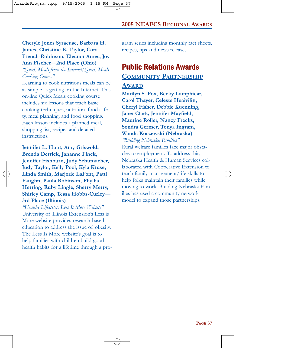#### **Cheryle Jones Syracuse, Barbara H. James, Christine B. Taylor, Cora French-Robinson, Eleanor Ames, Joy Ann Fischer—2nd Place (Ohio)**

*"Quick Meals from the Internet/Quick Meals Cooking Course"*

Learning to cook nutritious meals can be as simple as getting on the Internet. This on-line Quick Meals cooking course includes six lessons that teach basic cooking techniques, nutrition, food safety, meal planning, and food shopping. Each lesson includes a planned meal, shopping list, recipes and detailed instructions.

**Jennifer L. Hunt, Amy Griswold, Brenda Derrick, Jananne Finck, Jennifer Fishburn, Judy Schumacher, Judy Taylor, Kelly Pool, Kyla Kruse, Linda Smith, Marjorie LaFont, Patti Faughn, Paula Robinson, Phyllis Herring, Ruby Lingle, Sherry Merry, Shirley Camp, Tessa Hobbs-Curley— 3rd Place (Illinois)** 

*"Healthy Lifestyles: Less Is More Website"* University of Illinois Extension's Less is More website provides research-based education to address the issue of obesity. The Less Is More website's goal is to help families with children build good health habits for a lifetime through a program series including monthly fact sheets, recipes, tips and news releases.

### Public Relations Awards

### **COMMUNITY PARTNERSHIP**

#### **AWARD**

**Marilyn S. Fox, Becky Lamphiear, Carol Thayer, Celeste Heaivilin, Cheryl Fisher, Debbie Kuenning, Janet Clark, Jennifer Mayfield, Maurine Roller, Nancy Frecks, Sondra Germer, Tonya Ingram, Wanda Koszewski (Nebraska)** 

*"Building Nebraska Families"*

Rural welfare families face major obstacles to employment. To address this, Nebraska Health & Human Services collaborated with Cooperative Extension to teach family management/life skills to help folks maintain their families while moving to work. Building Nebraska Families has used a community network model to expand those partnerships.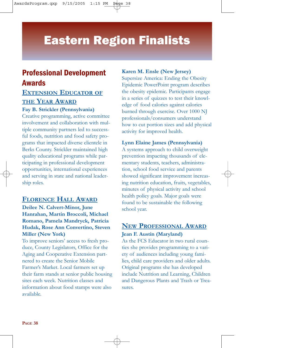# Eastern Region Finalists

### Professional Development Awards

# **EXTENSION EDUCATOR OF**

### **THE YEAR AWARD**

#### **Fay B. Strickler (Pennsylvania)**

Creative programming, active committee involvement and collaboration with multiple community partners led to successful foods, nutrition and food safety programs that impacted diverse clientele in Berks County. Strickler maintained high quality educational programs while participating in professional development opportunities, international experiences and serving in state and national leadership roles.

#### **FLORENCE HALL AWARD**

#### **Deilee N. Calvert-Minor, June Hanrahan, Martin Broccoli, Michael Romano, Pamela Mandryck, Patricia Hudak, Rose Ann Convertino, Steven Miller (New York)**

To improve seniors' access to fresh produce, County Legislators, Office for the Aging and Cooperative Extension partnered to create the Senior Mobile Farmer's Market. Local farmers set up their farm stands at senior public housing sites each week. Nutrition classes and information about food stamps were also available.

#### **Karen M. Ensle (New Jersey)**

Supersize America: Ending the Obesity Epidemic PowerPoint program describes the obesity epidemic. Participants engage in a series of quizzes to test their knowledge of food calories against calories burned through exercise. Over 1000 NJ professionals/consumers understand how to cut portion sizes and add physical activity for improved health.

#### **Lynn Elaine James (Pennsylvania)**

A systems approach to child overweight prevention impacting thousands of elementary students, teachers, administration, school food service and parents showed significant improvement increasing nutrition education, fruits, vegetables, minutes of physical activity and school health policy goals. Major goals were found to be sustainable the following school year.

# **NEW PROFESSIONAL AWARD**

#### **Jean F. Austin (Maryland)**

As the FCS Educator in two rural counties she provides programming to a variety of audiences including young families, child care providers and older adults. Original programs she has developed include Nutrition and Learning, Children and Dangerous Plants and Trash or Treasures.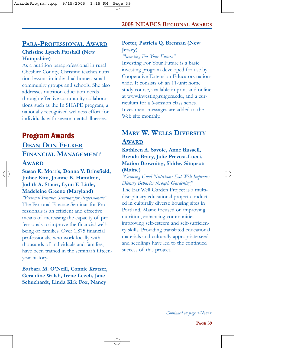### **PARA-PROFESSIONAL AWARD**

#### **Christine Lynch Parshall (New Hampshire)**

As a nutrition paraprofessional in rural Cheshire County, Christine teaches nutrition lessons in individual homes, small community groups and schools. She also addresses nutrition education needs through effective community collaborations such as the In SHAPE program, a nationally recognized wellness effort for individuals with severe mental illnesses.

# Program Awards **DEAN DON FELKER**

### **FINANCIAL MANAGEMENT AWARD**

**Susan K. Morris, Donna V. Brinsfield, Jinhee Kim, Joanne B. Hamilton, Judith A. Stuart, Lynn F. Little, Madeleine Greene (Maryland)** 

*"Personal Finance Seminar for Professionals"* The Personal Finance Seminar for Professionals is an efficient and effective means of increasing the capacity of professionals to improve the financial wellbeing of families. Over 1,875 financial professionals, who work locally with thousands of individuals and families, have been trained in the seminar's fifteenyear history.

**Barbara M. O'Neill, Connie Kratzer, Geraldine Walsh, Irene Leech, Jane Schuchardt, Linda Kirk Fox, Nancy**

#### **Porter, Patricia Q. Brennan (New Jersey)**

#### *"Investing For Your Future"*

Investing For Your Future is a basic investing program developed for use by Cooperative Extension Educators nationwide. It consists of an 11-unit home study course, available in print and online at www.investing.rutgers.edu, and a curriculum for a 6-session class series. Investment messages are added to the Web site monthly.

### **MARY W. WELLS DIVERSITY AWARD**

**Kathleen A. Savoie, Anne Russell, Brenda Bracy, Julie Prevost-Lucci, Marion Browning, Shirley Simpson (Maine)** 

*"Growing Good Nutrition: Eat Well Improves Dietary Behavior through Gardening"* The Eat Well Garden Project is a multidisciplinary educational project conducted in culturally diverse housing sites in Portland, Maine focused on improving nutrition, enhancing communities, improving self-esteem and self-sufficiency skills. Providing translated educational materials and culturally appropriate seeds and seedlings have led to the continued success of this project.

*Continued on page <None>*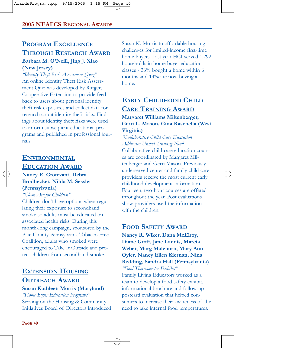### **PROGRAM EXCELLENCE THROUGH RESEARCH AWARD Barbara M. O'Neill, Jing J. Xiao**

**(New Jersey)** 

*"Identity Theft Risk Assessment Quiz"* An online Identity Theft Risk Assessment Quiz was developed by Rutgers Cooperative Extension to provide feedback to users about personal identity theft risk exposures and collect data for research about identity theft risks. Findings about identity theft risks were used to inform subsequent educational programs and published in professional journals.

### **ENVIRONMENTAL EDUCATION AWARD**

#### **Nancy E. Grotevant, Debra Brodhecker, Nilda M. Sessler (Pennsylvania)**

*"Clean Air for Children"*

Children don't have options when regulating their exposure to secondhand smoke so adults must be educated on associated health risks. During this month-long campaign, sponsored by the Pike County Pennsylvania Tobacco Free Coalition, adults who smoked were encouraged to Take It Outside and protect children from secondhand smoke.

### **EXTENSION HOUSING OUTREACH AWARD**

**Susan Kathleen Morris (Maryland)** 

*"Home Buyer Education Programs"* Serving on the Housing & Community Initiatives Board of Directors introduced Susan K. Morris to affordable housing challenges for limited-income first-time home buyers. Last year HCI served 1,292 households in home buyer education classes - 36% bought a home within 6 months and 14% are now buying a home.

### **EARLY CHILDHOOD CHILD CARE TRAINING AWARD**

**Margaret Williams Miltenberger, Gerri L. Mason, Gina Raschella (West Virginia)** 

*"Collaborative Child Care Education Addresses Unmet Training Need"* Collaborative child-care education courses are coordinated by Margaret Miltenberger and Gerri Mason. Previously underserved center and family child care providers receive the most current early childhood development information. Fourteen, two-hour courses are offered throughout the year. Post evaluations show providers used the information with the children.

#### **FOOD SAFETY AWARD**

**Nancy R. Wiker, Dana McElroy, Diane Groff, Jane Landis, Marcia Weber, Marg Malehorn, Mary Ann Oyler, Nancy Ellen Kiernan, Nina Redding, Sandra Hall (Pennsylvania)**  *"Food Thermometer Exhibit"*

Family Living Educators worked as a team to develop a food safety exhibit, informational brochure and follow-up postcard evaluation that helped consumers to increase their awareness of the need to take internal food temperatures.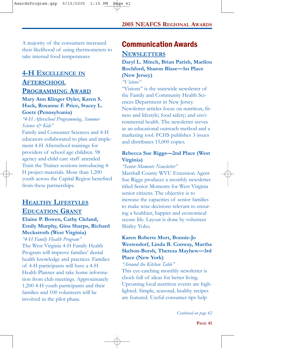A majority of the consumers increased their likelihood of using thermometers to take internal food temperatures

### **4-H EXCELLENCE IN AFTERSCHOOL PROGRAMMING AWARD**

**Mary Ann Klinger Oyler, Karen S. Hack, Roxanne F. Price, Stacey L. Goetz (Pennsylvania)** 

*"4-H Afterschool Programming, Summer Science & Kids"*

Family and Consumer Sciences and 4-H educators collaborated to plan and implement 4-H Afterschool trainings for providers of school age children. 98 agency and child care staff attended Train the Trainer sessions introducing 4- H project materials. More than 1,200 youth across the Capital Region benefited from these partnerships.

### **HEALTHY LIFESTYLES EDUCATION GRANT**

#### **Elaine P. Bowen, Cathy Cleland, Emily Murphy, Gina Sharps, Richard Meckstroth (West Virginia)**

*"4-H Family Health Program"* The West Virginia 4-H Family Health Program will improve families' dental health knowledge and practices. Families of 4-H participants will have a 4-H Health Planner and take home information from club meetings. Approximately 1,200 4-H youth participants and their families and 100 volunteers will be involved in the pilot phase.

# Communication Awards

#### **NEWSLETTERS**

**Daryl L. Minch, Brian Parish, Marilou Rochford, Sharon Blase—1st Place (New Jersey)** 

#### *"Visions"*

"Visions" is the statewide newsletter of the Family and Community Health Sciences Department in New Jersey. Newsletter articles focus on nutrition, fitness and lifestyle; food safety; and environmental health. The newsletter serves as an educational outreach method and a marketing tool. FCHS publishes 3 issues and distributes 15,000 copies.

#### **Rebecca Sue Riggs—2nd Place (West Virginia)**

*"Senior Moments Newsletter"*

Marshall County WVU Extension Agent Sue Riggs produces a monthly newsletter titled Senior Moments for West Virginia senior citizens. The objective is to increase the capacities of senior families to make wise decisions relevant to ensuring a healthier, happier and economical secure life. Layout is done by volunteer Shirley Yoho.

#### **Karen Roberts Mort, Bonnie-Jo Westendorf, Linda B. Conway, Martha Skelton-Borsh, Theresa Mayhew—3rd Place (New York)**

#### *"Around the Kitchen Table"*

This eye-catching monthly newsletter is chock full of ideas for better living. Upcoming local nutrition events are highlighted. Simple, seasonal, healthy recipes are featured. Useful consumer tips help

*Continued on page 42*

**PAGE 41**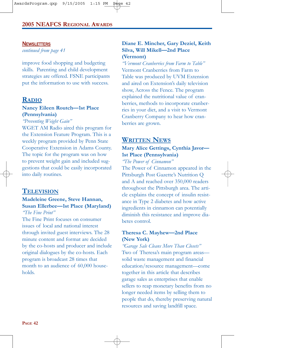#### **NEWSLETTERS**

*continued from page 41*

improve food shopping and budgeting skills. Parenting and child development strategies are offered. FSNE participants put the information to use with success.

#### **RADIO**

#### **Nancy Eileen Routch—1st Place (Pennsylvania)**

*"Preventing Weight Gain"*

WGET AM Radio aired this program for the Extension Feature Program. This is a weekly program provided by Penn State Cooperative Extension in Adams County. The topic for the program was on how to prevent weight gain and included suggestions that could be easily incorporated into daily routines.

#### **TELEVISION**

#### **Madeleine Greene, Steve Hannan, Susan Ellerbee—1st Place (Maryland)**  *"The Fine Print"*

The Fine Print focuses on consumer issues of local and national interest through invited guest interviews. The 28 minute content and format are decided by the co-hosts and producer and include original dialogues by the co-hosts. Each program is broadcast 28 times that month to an audience of 60,000 households.

#### **Diane E. Mincher, Gary Deziel, Keith Silva, Will Mikell—2nd Place (Vermont)**

*"Vermont Cranberries from Farm to Table"* Vermont Cranberries from Farm to Table was produced by UVM Extension and aired on Extension's daily television show, Across the Fence. The program explained the nutritional value of cranberries, methods to incorporate cranberries in your diet, and a visit to Vermont Cranberry Company to hear how cranberries are grown.

#### **WRITTEN NEWS**

#### **Mary Alice Gettings, Cynthia Javor— 1st Place (Pennsylvania)**

*"The Power of Cinnamon"* The Power of Cinnamon appeared in the Pittsburgh Post Gazette's Nutrition Q and A and reached over 350,000 readers throughout the Pittsburgh area. The article explains the concept of insulin resistance in Type 2 diabetes and how active ingredients in cinnamon can potentially diminish this resistance and improve diabetes control.

#### **Theresa C. Mayhew—2nd Place (New York)**

*"Garage Sale Cleans More Than Closets"* Two of Theresa's main program areas solid waste management and financial education/resource management—come together in this article that describes garage sales as enterprises that enable sellers to reap monetary benefits from no longer needed items by selling them to people that do, thereby preserving natural resources and saving landfill space.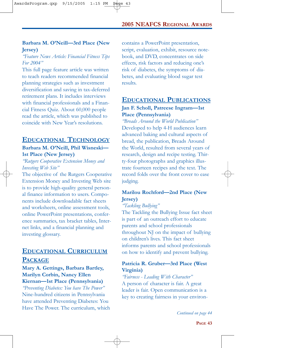#### **Barbara M. O'Neill—3rd Place (New Jersey)**

*"Feature News Article: Financial Fitness Tips For 2004"*

This full page feature article was written to teach readers recommended financial planning strategies such as investment diversification and saving in tax-deferred retirement plans. It includes interviews with financial professionals and a Financial Fitness Quiz. About 60,000 people read the article, which was published to coincide with New Year's resolutions.

#### **EDUCATIONAL TECHNOLOGY Barbara M. O'Neill, Phil Wisneski— 1st Place (New Jersey)**

*"Rutgers Cooperative Extension Money and Investing Web Site"*

The objective of the Rutgers Cooperative Extension Money and Investing Web site is to provide high-quality general personal finance information to users. Components include downloadable fact sheets and worksheets, online assessment tools, online PowerPoint presentations, conference summaries, tax bracket tables, Internet links, and a financial planning and investing glossary.

### **EDUCATIONAL CURRICULUM PACKAGE**

**Mary A. Gettings, Barbara Bartley, Marilyn Corbin, Nancy Ellen Kiernan—1st Place (Pennsylvania)** 

*"Preventing Diabetes: You have The Power"* Nine-hundred citizens in Pennsylvania have attended Preventing Diabetes: You Have The Power. The curriculum, which contains a PowerPoint presentation, script, evaluation, exhibit, resource notebook, and DVD, concentrates on side effects, risk factors and reducing one's risk of diabetes, the symptoms of diabetes, and evaluating blood sugar test results.

#### **EDUCATIONAL PUBLICATIONS**

#### **Jan F. Scholl, Patreese Ingram—1st Place (Pennsylvania)**

*"Breads Around the World Publication"* Developed to help 4-H audiences learn advanced baking and cultural aspects of bread, the publication, Breads Around the World, resulted from several years of research, design and recipe testing. Thirty-four photographs and graphics illustrate fourteen recipes and the text. The record folds over the front cover to ease judging.

#### **Marilou Rochford—2nd Place (New Jersey)**

#### *"Tackling Bullying"*

The Tackling the Bullying Issue fact sheet is part of an outreach effort to educate parents and school professionals throughout NJ on the impact of bullying on children's lives. This fact sheet informs parents and school professionals on how to identify and prevent bullying.

#### **Patricia R. Gruber—3rd Place (West Virginia)**

*"Fairness - Leading With Character"* A person of character is fair. A great leader is fair. Open communication is a key to creating fairness in your environ-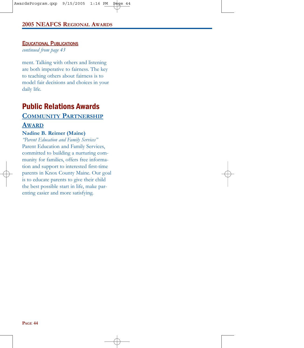#### **EDUCATIONAL PUBLICATIONS**

*continued from page 43*

ment. Talking with others and listening are both imperative to fairness. The key to teaching others about fairness is to model fair decisions and choices in your daily life.

### Public Relations Awards

### **COMMUNITY PARTNERSHIP AWARD**

#### **Nadine B. Reimer (Maine)**

*"Parent Education and Family Services"* Parent Education and Family Services, committed to building a nurturing community for families, offers free information and support to interested first-time parents in Knox County Maine. Our goal is to educate parents to give their child the best possible start in life, make parenting easier and more satisfying.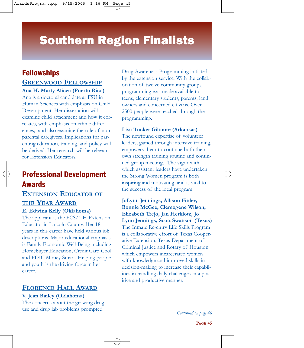# Southern Region Finalists

### Fellowships

### **GREENWOOD FELLOWSHIP**

**Ana H. Marty Alicea (Puerto Rico)**  Ana is a doctoral candidate at FSU in Human Sciences with emphasis on Child Development. Her dissertation will examine child attachment and how it correlates, with emphasis on ethnic differences; and also examine the role of nonparental caregivers. Implications for parenting education, training, and policy will be derived. Her research will be relevant for Extension Educators.

### Professional Development Awards

### **EXTENSION EDUCATOR OF THE YEAR AWARD**

#### **E. Edwina Kelly (Oklahoma)**

The applicant is the FCS/4-H Extension Educator in Lincoln County. Her 18 years in this career have held various job descriptions. Major educational emphasis is Family Economic Well-Being including Homebuyer Education, Credit Card Cool and FDIC Money Smart. Helping people and youth is the driving force in her career.

### **FLORENCE HALL AWARD**

#### **V. Jean Bailey (Oklahoma)**

The concerns about the growing drug use and drug lab problems prompted

Drug Awareness Programming initiated by the extension service. With the collaboration of twelve community groups, programming was made available to teens, elementary students, parents, land owners and concerned citizens. Over 2500 people were reached through the programming.

#### **Lisa Tucker Gilmore (Arkansas)**

The newfound expertise of volunteer leaders, gained through intensive training, empowers them to continue both their own strength training routine and continued group meetings. The vigor with which assistant leaders have undertaken the Strong Women program is both inspiring and motivating, and is vital to the success of the local program.

**JoLynn Jennings, Allison Finley, Bonnie McGee, Clemogene Wilson, Elizabeth Trejo, Jan Herklotz, Jo Lynn Jennings, Scott Swanson (Texas)**  The Inmate Re-entry Life Skills Program is a collaborative effort of Texas Cooperative Extension, Texas Department of Criminal Justice and Rotary of Houston which empowers incarcerated women with knowledge and improved skills in decision-making to increase their capabilities in handling daily challenges in a positive and productive manner.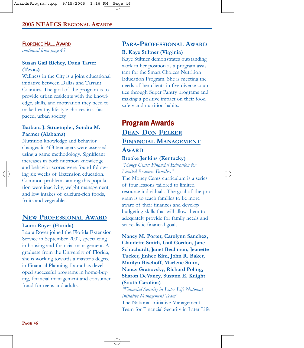#### FLORENCE HALL AWARD

*continued from page 45*

#### **Susan Gail Richey, Dana Tarter (Texas)**

Wellness in the City is a joint educational initiative between Dallas and Tarrant Counties. The goal of the program is to provide urban residents with the knowledge, skills, and motivation they need to make healthy lifestyle choices in a fastpaced, urban society.

#### **Barbara J. Struempler, Sondra M. Parmer (Alabama)**

Nutrition knowledge and behavior changes in 468 teenagers were assessed using a game methodology. Significant increases in both nutrition knowledge and behavior scores were found following six weeks of Extension education. Common problems among this population were inactivity, weight management, and low intakes of calcium-rich foods, fruits and vegetables.

#### **NEW PROFESSIONAL AWARD**

#### **Laura Royer (Florida)**

Laura Royer joined the Florida Extension Service in September 2002, specializing in housing and financial management. A graduate from the University of Florida, she is working towards a master's degree in Financial Planning. Laura has developed successful programs in home-buying, financial management and consumer fraud for teens and adults.

#### **PARA-PROFESSIONAL AWARD**

#### **B. Kaye Stiltner (Virginia)**

Kaye Stiltner demonstrates outstanding work in her position as a program assistant for the Smart Choices Nutrition Education Program. She is meeting the needs of her clients in five diverse counties through Super Pantry programs and making a positive impact on their food safety and nutrition habits.

### Program Awards **DEAN DON FELKER FINANCIAL MANAGEMENT AWARD**

#### **Brooke Jenkins (Kentucky)**

*"Money Cents: Financial Education for Limited Resource Families"*

The Money Cents curriculum is a series of four lessons tailored to limited resource individuals. The goal of the program is to teach families to be more aware of their finances and develop budgeting skills that will allow them to adequately provide for family needs and set realistic financial goals.

**Nancy M. Porter, Carolynn Sanchez, Claudette Smith, Gail Gordon, Jane Schuchardt, Janet Bechman, Jeanette Tucker, Jinhee Kim, John R. Baker, Marilyn Bischoff, Marlene Stum, Nancy Granovsky, Richard Poling, Sharon DeVaney, Suzann E. Knight (South Carolina)** 

*"Financial Security in Later Life National Initiative Management Team"* The National Initiative Management Team for Financial Security in Later Life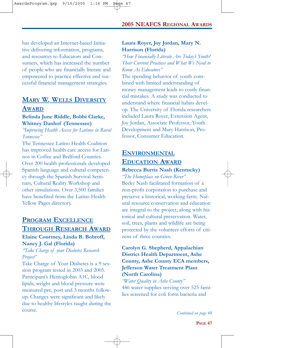has developed an Internet-based Initiative delivering information, programs, and resources to Educators and Consumers, which has increased the number of people who are financially literate and empowered to practice effective and successful financial management strategies.

### **MARY W. WELLS DIVERSITY AWARD**

#### **Belinda June Riddle, Bobbi Clarke, Whitney Danhof (Tennessee)**

*"Improving Health Access for Latinos in Rural Tennessee"*

The Tennessee Latino Health Coalition has improved health care access for Latinos in Coffee and Bedford Counties. Over 200 health professionals developed Spanish language and cultural competency through the Spanish Survival Seminars, Cultural Reality Workshop and other simulations. Over 3,500 families have benefited from the Latino Health Yellow Pages directory.

### **PROGRAM EXCELLENCE THROUGH RESEARCH AWARD**

**Elaine Courtney, Linda B. Bobroff, Nancy J. Gal (Florida)** 

*"Take Charge of your Diabetes Research Project"*

Take Charge of Your Diabetes is a 9 session program tested in 2003 and 2005. Participant's Hemoglobin A1C, blood lipids, weight and blood pressure were measured pre, post and 3 months followup. Changes were significant and likely due to healthy lifestyles taught during the course.

#### **Laura Royer, Joy Jordan, Mary N. Harrison (Florida)**

*"How Financially Literate Are Today's Youth? Their Current Practices and What We Need to Know As Educators"*

The spending behavior of youth combined with limited understanding of money management leads to costly financial mistakes. A study was conducted to understand where financial habits develop. The University of Florida researchers included Laura Royer, Extension Agent, Joy Jordan, Associate Professor, Youth Development and Mary Harrison, Professor, Consumer Education.

# **ENVIRONMENTAL**

### **EDUCATION AWARD**

**Rebecca Burris Nash (Kentucky)** 

*"The Homeplace on Green River"* Becky Nash facilitated formation of a non-profit corporation to purchase and preserve a historical, working farm. Natural resource conservation and education are integral to the project, along with historical and cultural preservation. Water, soil, trees, plants and wildlife are being protected by the volunteer efforts of citizens of three counties.

#### **Carolyn G. Shepherd, Appalachian District Health Department, Ashe County, Ashe County ECA members, Jefferson Water Treatment Plant (North Carolina)**

*"Water Quality in Ashe County"* 446 water supplies serving over 525 families screened for coli form bacteria and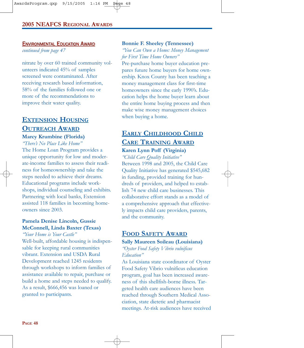#### ENVIRONMENTAL EDUCATION AWARD

*continued from page 47*

nitrate by over 60 trained community volunteers indicated 45% of samples screened were contaminated. After receiving research based information, 58% of the families followed one or more of the recommendations to improve their water quality.

### **EXTENSION HOUSING OUTREACH AWARD**

#### **Marcy Krumbine (Florida)**  *"There's No Place Like Home"*

The Home Loan Program provides a unique opportunity for low and moderate-income families to assess their readiness for homeownership and take the steps needed to achieve their dreams. Educational programs include workshops, individual counseling and exhibits. Partnering with local banks, Extension assisted 118 families in becoming homeowners since 2003.

#### **Pamela Denise Lincoln, Gussie McConnell, Linda Baxter (Texas)**

*"Your Home is Your Castle"* Well-built, affordable housing is indispensable for keeping rural communities vibrant. Extension and USDA Rural Development reached 1245 residents through workshops to inform families of assistance available to repair, purchase or build a home and steps needed to qualify. As a result, \$666,456 was loaned or granted to participants.

#### **Bonnie F. Sheeley (Tennessee)**

*"You Can Own a Home: Money Management for First Time Home Owners"*

Pre-purchase home buyer education prepares future home buyers for home ownership. Knox County has been teaching a money management class for first-time homeowners since the early 1990's. Education helps the home buyer learn about the entire home buying process and then make wise money management choices when buying a home.

### **EARLY CHILDHOOD CHILD CARE TRAINING AWARD**

#### **Karen Lynn Poff (Virginia)**

*"Child Care Quality Initiative"* Between 1998 and 2005, the Child Care Quality Initiative has generated \$545,682 in funding, provided training for hundreds of providers, and helped to establish 74 new child care businesses. This collaborative effort stands as a model of a comprehensive approach that effectively impacts child care providers, parents, and the community.

#### **FOOD SAFETY AWARD**

#### **Sally Maureen Soileau (Louisiana)**

*"Oyster Food Safety Vibrio vulnificus Education"*

As Louisiana state coordinator of Oyster Food Safety Vibrio vulnificus education program, goal has been increased awareness of this shellfish-borne illness. Targeted health care audiences have been reached through Southern Medical Association, state dietetic and pharmacist meetings. At-risk audiences have received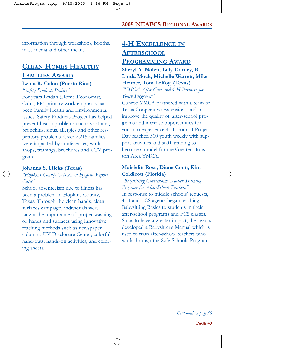information through workshops, booths, mass media and other means.

### **CLEAN HOMES HEALTHY FAMILIES AWARD**

#### **Leida R. Colon (Puerto Rico)**

*"Safety Products Project"* For years Leida's (Home Economist, Cidra, PR) primary work emphasis has been Family Health and Environmental issues. Safety Products Project has helped prevent health problems such as asthma, bronchitis, sinus, allergies and other respiratory problems. Over 2,215 families were impacted by conferences, workshops, trainings, brochures and a TV program.

#### **Johanna S. Hicks (Texas)**

*"Hopkins County Gets A on Hygiene Report Card"*

School absenteeism due to illness has been a problem in Hopkins County, Texas. Through the clean hands, clean surfaces campaign, individuals were taught the importance of proper washing of hands and surfaces using innovative teaching methods such as newspaper columns, UV Disclosure Center, colorful hand-outs, hands-on activities, and coloring sheets.

### **4-H EXCELLENCE IN AFTERSCHOOL**

#### **PROGRAMMING AWARD**

**Sheryl A. Nolen, Lilly Dorney, B, Linda Mock, Michelle Warren, Mike Heimer, Tom LeRoy, (Texas)** 

*"YMCA After-Care and 4-H Partners for Youth Programs"*

Conroe YMCA partnered with a team of Texas Cooperative Extension staff to improve the quality of after-school programs and increase opportunities for youth to experience 4-H. Four-H Project Day reached 300 youth weekly with support activities and staff training to become a model for the Greater Houston Area YMCA.

#### **Maisielin Ross, Diane Coon, Kim Coldicott (Florida)**

*"Babysitting Curriculum Teacher Training Program for After-School Teachers"* In response to middle schools' requests, 4-H and FCS agents began teaching Babysitting Basics to students in their after-school programs and FCS classes. So as to have a greater impact, the agents developed a Babysitter's Manual which is used to train after-school teachers who work through the Safe Schools Program.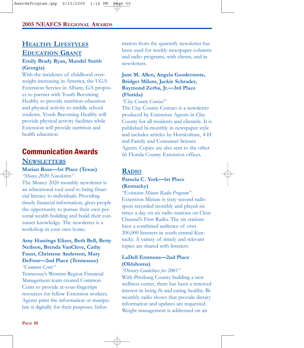### **HEALTHY LIFESTYLES EDUCATION GRANT**

#### **Emily Brady Ryan, Mandel Smith (Georgia)**

With the incidence of childhood overweight increasing in America, the UGA Extension Service in Albany, GA proposes to partner with Youth Becoming Healthy to provide nutrition education and physical activity to middle school students. Youth Becoming Healthy will provide physical activity facilities while Extension will provide nutrition and health education.

# Communication Awards

#### **NEWSLETTERS**

#### **Marian Ross—1st Place (Texas)**  *"Money 2020 Newsletters"*

The Money 2020 monthly newsletter is an educational tool used to bring financial literacy to individuals. Providing timely financial information, gives people the opportunity to pursue their own personal wealth building and build their consumer knowledge. The newsletter is a workshop in your own home.

#### **Amy Hastings Elizer, Beth Bell, Betty Neilson, Brenda VanCleve, Cathy Faust, Christene Anderson, Mary DeFoor—2nd Place (Tennessee)**  *"Common Cents"*

Tennessee's Western Region Financial Management team created Common Cents to provide at-your-fingertips resources for fellow Extension workers. Agents print the information or manipulate it digitally for their purposes. Information from the quarterly newsletter has been used for weekly newspaper columns and radio programs, with clients, and in newsletters.

#### **Jane M. Allen, Angela Goodermote, Bridget Milam, Jackie Schrader, Raymond Zerba, Jr.—3rd Place (Florida)**

*"Clay County Contact"* The Clay County Contact is a newsletter produced by Extension Agents in Clay County for all residents and clientele. It is published bi-monthly in newspaper style and includes articles by Horticulture, 4-H and Family and Consumer Science Agents. Copies are also sent to the other 66 Florida County Extension offices.

#### **RADIO**

#### **Pamela C. York—1st Place (Kentucky)**

*"Extension Minute Radio Program"* Extension Minute is sixty second radio spots recorded monthly and played six times a day on six radio stations on Clear Channel's First Radio. The six stations have a combined audience of over 200,000 listeners in south central Kentucky. A variety of timely and relevant topics are shared with listeners.

#### **LaDell Emmons—2nd Place (Oklahoma)**

*"Dietary Guidelines for 2005"* With Pittsburg County building a new wellness center, there has been a renewed interest in being fit and eating healthy. Bimonthly radio shows that provide dietary information and updates are requested. Weight management is addressed on air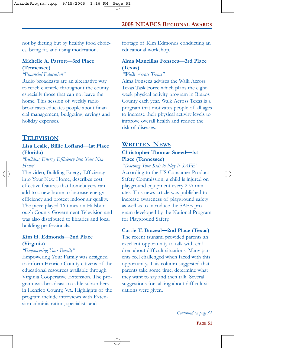not by dieting but by healthy food choices, being fit, and using moderation.

#### **Michelle A. Parrott—3rd Place (Tennessee)**

#### *"Financial Education"*

Radio broadcasts are an alternative way to reach clientele throughout the county especially those that can not leave the home. This session of weekly radio broadcasts educates people about financial management, budgeting, savings and holiday expenses.

#### **TELEVISION**

#### **Lisa Leslie, Billie Lofland—1st Place (Florida)**

*"Building Energy Efficiency into Your New Home"*

The video, Building Energy Efficiency into Your New Home, describes cost effective features that homebuyers can add to a new home to increase energy efficiency and protect indoor air quality. The piece played 16 times on Hillsborough County Government Television and was also distributed to libraries and local building professionals.

#### **Kim H. Edmonds—2nd Place (Virginia)**

#### *"Empowering Your Family"*

Empowering Your Family was designed to inform Henrico County citizens of the educational resources available through Virginia Cooperative Extension. The program was broadcast to cable subscribers in Henrico County, VA. Highlights of the program include interviews with Extension administration, specialists and

footage of Kim Edmonds conducting an educational workshop.

#### **Alma Mancillas Fonseca—3rd Place (Texas)**

#### *"Walk Across Texas"*

Alma Fonseca advises the Walk Across Texas Task Force which plans the eightweek physical activity program in Brazos County each year. Walk Across Texas is a program that motivates people of all ages to increase their physical activity levels to improve overall health and reduce the risk of diseases.

#### **WRITTEN NEWS**

#### **Christopher Thomas Sneed—1st Place (Tennessee)**

*"Teaching Your Kids to Play It SAFE"* According to the US Consumer Product Safety Commission, a child is injured on playground equipment every 2 ½ minutes. This news article was published to increase awareness of playground safety as well as to introduce the SAFE program developed by the National Program for Playground Safety.

#### **Carrie T. Brazeal—2nd Place (Texas)**

The recent tsunami provided parents an excellent opportunity to talk with children about difficult situations. Many parents feel challenged when faced with this opportunity. This column suggested that parents take some time, determine what they want to say and then talk. Several suggestions for talking about difficult situations were given.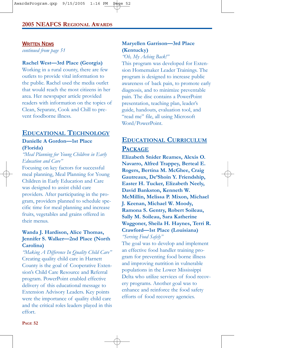#### **WRITTEN NEWS**

*continued from page 51*

#### **Rachel West—3rd Place (Georgia)**

Working in a rural county, there are few outlets to provide vital information to the public. Rachel used the media outlet that would reach the most citizens in her area. Her newspaper article provided readers with information on the topics of Clean, Separate, Cook and Chill to prevent foodborne illness.

#### **EDUCATIONAL TECHNOLOGY Danielle A Gordon—1st Place (Florida)**

#### *"Meal Planning for Young Children in Early Education and Care"*

Focusing on key factors for successful meal planning, Meal Planning for Young Children in Early Education and Care was designed to assist child care providers. After participating in the program, providers planned to schedule specific time for meal planning and increase fruits, vegetables and grains offered in their menus.

#### **Wanda J. Hardison, Alice Thomas, Jennifer S. Walker—2nd Place (North Carolina)**

*"Making A Difference In Quality Child Care"* Creating quality child care in Harnett County is the goal of Cooperative Extension's Child Care Resource and Referral program. PowerPoint enabled effective delivery of this educational message to Extension Advisory Leaders. Key points were the importance of quality child care and the critical roles leaders played in this effort.

#### **Maryellen Garrison—3rd Place (Kentucky)**

*"Oh, My Aching Back!"*

This program was developed for Extension Homemaker Leader Trainings. The program is designed to increase public awareness of back pain, to promote early diagnosis, and to minimize preventable pain. The disc contains a PowerPoint presentation, teaching plan, leader's guide, handouts, evaluation tool, and "read me" file, all using Microsoft Word/PowerPoint.

### **EDUCATIONAL CURRICULUM PACKAGE**

**Elizabeth Snider Reames, Alexis O. Navarro, Alfred Trappey, Berteal E. Rogers, Bertina M. McGhee, Craig Gautreaux, De'Shoin Y. Friendship, Easter H. Tucker, Elizabeth Neely, David Bankston, Kenneth W. McMillin, Melissa P. Mixon, Michael J. Keenan, Michael W. Moody, Ramona S. Gentry, Robert Soileau, Sally M. Soileau, Sara Katherine Waggoner, Sheila H. Haynes, Terri R. Crawford—1st Place (Louisiana)**  *"Serving Food Safely"*

The goal was to develop and implement an effective food handler training program for preventing food borne illness and improving nutrition in vulnerable populations in the Lower Mississippi Delta who utilize services of food recovery programs. Another goal was to enhance and reinforce the food safety efforts of food recovery agencies.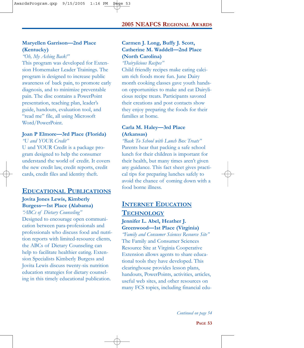#### **Maryellen Garrison—2nd Place (Kentucky)**

#### *"Oh, My Aching Back!"*

This program was developed for Extension Homemaker Leader Trainings. The program is designed to increase public awareness of back pain, to promote early diagnosis, and to minimize preventable pain. The disc contains a PowerPoint presentation, teaching plan, leader's guide, handouts, evaluation tool, and "read me" file, all using Microsoft Word/PowerPoint.

#### **Joan P Elmore—3rd Place (Florida)**

*"U and YOUR Credit"*

U and YOUR Credit is a package program designed to help the consumer understand the world of credit. It covers the new credit law, credit reports, credit cards, credit files and identity theft.

#### **EDUCATIONAL PUBLICATIONS**

#### **Jovita Jones Lewis, Kimberly Burgess—1st Place (Alabama)**

*"ABCs of Dietary Counseling"* Designed to encourage open communication between para-professionals and professionals who discuss food and nutrition reports with limited-resource clients, the ABCs of Dietary Counseling can help to facilitate healthier eating. Extension Specialists Kimberly Burgess and Jovita Lewis discuss twenty-six nutrition education strategies for dietary counseling in this timely educational publication.

#### **Carmen J. Long, Buffy J. Scott, Catherine M. Waddell—2nd Place (North Carolina)**

#### *"Dairylicious Recipes"*

Child friendly recipes make eating calcium rich foods more fun. June Dairy month cooking classes gave youth handson opportunities to make and eat Dairylicious recipe treats. Participants savored their creations and post contacts show they enjoy preparing the foods for their families at home.

#### **Carla M. Haley—3rd Place (Arkansas)**

*"Back To School with Lunch Box Treats"* Parents hear that packing a safe school lunch for their children is important for their health, but many times aren't given any guidance. This fact sheet gives practical tips for preparing lunches safely to avoid the chance of coming down with a food borne illness.

### **INTERNET EDUCATION TECHNOLOGY**

#### **Jennifer L. Abel, Heather J. Greenwood—1st Place (Virginia)**

*"Family and Consumer Sciences Resource Site"* The Family and Consumer Sciences Resource Site at Virginia Cooperative Extension allows agents to share educational tools they have developed. This clearinghouse provides lesson plans, handouts, PowerPoints, activities, articles, useful web sites, and other resources on many FCS topics, including financial edu-

*Continued on page 54*

**PAGE 53**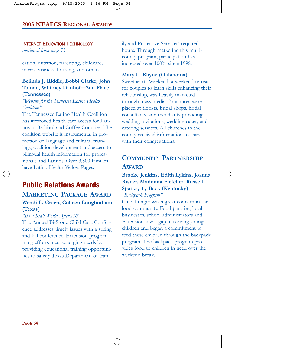#### INTERNET EDUCATION TECHNOLOGY

*continued from page 53*

cation, nutrition, parenting, childcare, micro-business, housing, and others.

#### **Belinda J. Riddle, Bobbi Clarke, John Toman, Whitney Danhof—2nd Place (Tennessee)**

*"Website for the Tennessee Latino Health Coalition"*

The Tennessee Latino Health Coalition has improved health care access for Latinos in Bedford and Coffee Counties. The coalition website is instrumental in promotion of language and cultural trainings, coalition development and access to bilingual health information for professionals and Latinos. Over 3,500 families have Latino Health Yellow Pages.

### Public Relations Awards

### **MARKETING PACKAGE AWARD Wendi L. Green, Colleen Longbotham**

#### **(Texas)**  *"It's a Kid's World After All"*

The Annual Bi-Stone Child Care Conference addresses timely issues with a spring and fall conference. Extension programming efforts meet emerging needs by providing educational training opportunities to satisfy Texas Department of Family and Protective Services' required hours. Through marketing this multicounty program, participation has increased over 100% since 1998.

#### **Mary L. Rhyne (Oklahoma)**

Sweethearts Weekend, a weekend retreat for couples to learn skills enhancing their relationship, was heavily marketed through mass media. Brochures were placed at florists, bridal shops, bridal consultants, and merchants providing wedding invitations, wedding cakes, and catering services. All churches in the county received information to share with their congregations.

### **COMMUNITY PARTNERSHIP AWARD**

**Brooke Jenkins, Edith Lykins, Joanna Risner, Madonna Fletcher, Russell Sparks, Ty Back (Kentucky)** 

*"Backpack Program"*

Child hunger was a great concern in the local community. Food pantries, local businesses, school administrators and Extension saw a gap in serving young children and began a commitment to feed these children through the backpack program. The backpack program provides food to children in need over the weekend break.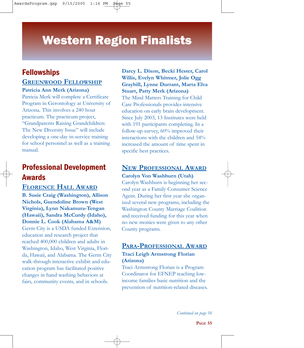# Western Region Finalists

### Fellowships

#### **GREENWOOD FELLOWSHIP Patricia Ann Merk (Arizona)**

Patricia Merk will complete a Certificate Program in Gerontology at University of Arizona. This involves a 240 hour practicum. The practicum project, "Grandparents Raising Grandchildren: The New Diversity Issue" will include developing a one-day in-service training for school personnel as well as a training manual.

### Professional Development Awards

#### **FLORENCE HALL AWARD**

**B. Susie Craig (Washington), Allison Nichols, Guendoline Brown (West Virginia), Lynn Nakamura-Tengan (Hawaii), Sandra McCurdy (Idaho), Donnie L. Cook (Alabama A&M)**  Germ City is a USDA funded Extension, education and research project that reached 400,000 children and adults in Washington, Idaho, West Virginia, Florida, Hawaii, and Alabama. The Germ City walk-through interactive exhibit and education program has facilitated positive changes in hand washing behaviors at fairs, community events, and in schools.

#### **Darcy L. Dixon, Becki Hester, Carol Willis, Evelyn Whitmer, Jolie Ogg Graybill, Lynne Durrant, Marta Elva Stuart, Patty Merk (Arizona)**

The Mind Matters Training for Child Care Professionals provides intensive education on early brain development. Since July 2003, 13 Institutes were held with 191 participants completing. In a follow-up survey, 60% improved their interactions with the children and 54% increased the amount of time spent in specific best practices.

#### **NEW PROFESSIONAL AWARD**

**Carolyn Von Washburn (Utah)**  Carolyn Washburn is beginning her second year as a Family Consumer Science Agent. During her first year she organized several new programs, including the Washington County Marriage Coalition and received funding for this year when no new monies were given to any other County programs.

### **PARA-PROFESSIONAL AWARD**

#### **Traci Leigh Armstrong Florian (Arizona)**

Traci Armstrong Florian is a Program Coordinator for EFNEP teaching lowincome families basic nutrition and the prevention of nutrition-related diseases.

*Continued on page 56*

**PAGE 55**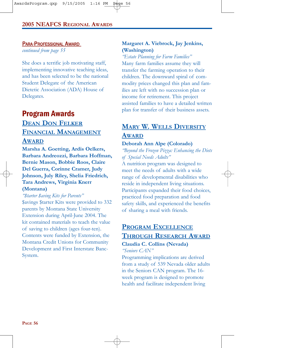#### PARA-PROFESSIONAL AWARD

*continued from page 55*

She does a terrific job motivating staff, implementing innovative teaching ideas, and has been selected to be the national Student Delegate of the American Dietetic Association (ADA) House of Delegates.

### Program Awards

### **DEAN DON FELKER FINANCIAL MANAGEMENT**

#### **AWARD**

**Marsha A. Goetting, Ardis Oelkers, Barbara Andreozzi, Barbara Hoffman, Bernie Mason, Bobbie Roos, Claire Del Guerra, Corinne Cramer, Judy Johnson, July Riley, Shelia Friedrich, Tara Andrews, Virginia Knerr (Montana)** 

#### *"\$tarter \$aving Kits for Parents"*

\$avings \$tarter Kits were provided to 332 parents by Montana State University Extension during April-June 2004. The kit contained materials to teach the value of saving to children (ages four-ten). Contents were funded by Extension, the Montana Credit Unions for Community Development and First Interstate Banc-System.

#### **Margaret A. Viebrock, Jay Jenkins, (Washington)**

*"Estate Planning for Farm Families"* Many farm families assume they will transfer the farming operation to their children. The downward spiral of commodity prices changed this plan and families are left with no succession plan or income for retirement. This project assisted families to have a detailed written plan for transfer of their business assets.

### **MARY W. WELLS DIVERSITY AWARD**

#### **Deborah Ann Alpe (Colorado)**

*"Beyond the Frozen Pizza: Enhancing the Diets of Special Needs Adults"*

A nutrition program was designed to meet the needs of adults with a wide range of developmental disabilities who reside in independent living situations. Participants expanded their food choices, practiced food preparation and food safety skills, and experienced the benefits of sharing a meal with friends.

### **PROGRAM EXCELLENCE THROUGH RESEARCH AWARD**

**Claudia C. Collins (Nevada)** 

*"Seniors CAN"*

Programming implications are derived from a study of 539 Nevada older adults in the Seniors CAN program. The 16 week program is designed to promote health and facilitate independent living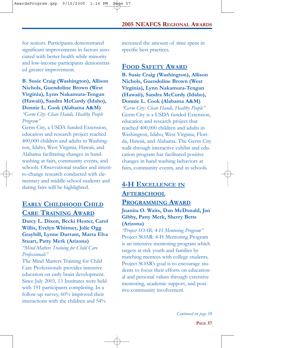for seniors. Participants demonstrated significant improvements in factors associated with better health while minority and low-income participants demonstrated greater improvement.

#### **B. Susie Craig (Washington), Allison Nichols, Guendoline Brown (West Virginia), Lynn Nakamura-Tengan (Hawaii), Sandra McCurdy (Idaho), Donnie L. Cook (Alabama A&M)** *"Germ City: Clean Hands, Healthy People*

*Program"*

Germ City, a USDA funded Extension, education and research project reached 400,000 children and adults in Washington, Idaho, West Virginia, Hawaii, and Alabama facilitating changes in handwashing at fairs, community events, and schools. Observational studies and intentto-change research conducted with elementary and middle-school students and during fairs will be highlighted.

### **EARLY CHILDHOOD CHILD CARE TRAINING AWARD**

**Darcy L. Dixon, Becki Hester, Carol Willis, Evelyn Whitmer, Jolie Ogg Graybill, Lynne Durrant, Marta Elva Stuart, Patty Merk (Arizona)** 

*"Mind Matters Training for Child Care Professionals"*

The Mind Matters Training for Child Care Professionals provides intensive education on early brain development. Since July 2003, 13 Institutes were held with 191 participants completing. In a follow-up survey, 60% improved their interactions with the children and 54%

increased the amount of time spent in specific best practices.

#### **FOOD SAFETY AWARD**

**B. Susie Craig (Washington), Allison Nichols, Guendoline Brown (West Virginia), Lynn Nakamura-Tengan (Hawaii), Sandra McCurdy (Idaho), Donnie L. Cook (Alabama A&M)** 

*"Germ City: Clean Hands, Healthy People"* Germ City is a USDA funded Extension, education and research project that reached 400,000 children and adults in Washington, Idaho, West Virginia, Florida, Hawaii, and Alabama. The Germ City walk-through interactive exhibit and education program has facilitated positive changes in hand washing behaviors at fairs, community events, and in schools.

### **4-H EXCELLENCE IN AFTERSCHOOL PROGRAMMING AWARD**

**Juanita O. Waits, Dan McDonald, Jan Gibby, Patty Merk, Sherry Betts (Arizona)** 

*"Project SOAR: 4-H Mentoring Program"* Project SOAR: 4-H Mentoring Program is an intensive mentoring program which targets at-risk youth and families by matching mentees with college students. Project SOAR's goal is to encourage students to focus their efforts on educational and personal values through extensive mentoring, academic support, and positive community involvement.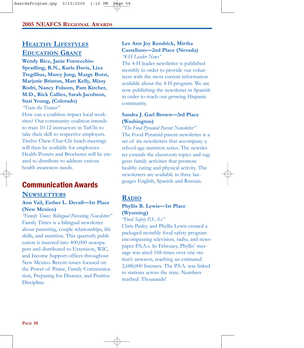### **HEALTHY LIFESTYLES EDUCATION GRANT**

**Wendy Rice, Janie Fontecchio-Spradling, R.N., Karla Davis, Liza Tregillius, Marcy Jung, Marge Borst, Marjorie Brinton, Matt Kelly, Missy Rodri, Nancy Folsom, Pam Kircher, M.D., Rick Callies, Sarah Jacobson, Suzi Young, (Colorado)** 

#### *"Train the Trainer"*

How can a coalition impact local worksites? Our community coalition intends to train 10-12 instructors in TaiChi to take their skill to respective employers. Twelve Chew-Chat-Chi lunch meetings will then be available for employees. Health Posters and Brochures will be created to distribute to address various health awareness needs.

### Communication Awards

#### **NEWSLETTERS**

#### **Ann Vail, Esther L. Devall—1st Place (New Mexico)**

*"Family Times: Bilingual Parenting Newsletter"* Family Times is a bilingual newsletter about parenting, couple relationships, life skills, and nutrition. This quarterly publication is inserted into 400,000 newspapers and distributed to Extension, WIC, and Income Support offices throughout New Mexico. Recent issues focused on the Power of Praise, Family Communication, Preparing for Disaster, and Positive Discipline.

#### **Lee Ann Joy Kendrick, Mirtha Castellano—2nd Place (Nevada)**  *"4-H Leader News"*

The 4-H leader newsletter is published monthly in order to provide our volunteers with the most current information available about the 4-H program. We are now publishing the newsletter in Spanish in order to reach our growing Hispanic community.

#### **Sandra J. Garl Brown—3rd Place (Washington)**

*"The Food Pyramid Parent Newsletter"* The Food Pyramid parent newsletter is a set of six newsletters that accompany a school-age nutrition series. The newsletter extends the classroom topics and suggests family activities that promote healthy eating and physical activity. The newsletters are available in three languages English, Spanish and Russian.

#### **RADIO**

#### **Phyllis B. Lewis—1st Place (Wyoming)**

*"Food Safety P.S.A.s"*

Chris Pasley and Phyllis Lewis created a packaged monthly food safety program encompassing television, radio, and newspaper P.S.A.s. In February, Phyllis' message was aired 168 times over one station's airwaves, reaching an estimated 2,688,000 listeners. The P.S.A. was linked to stations across the state. Numbers reached: Thousands!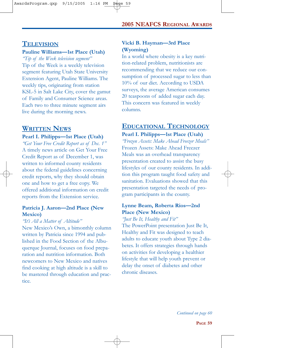#### **TELEVISION**

#### **Pauline Williams—1st Place (Utah)**

*"Tip of the Week television segment"* Tip of the Week is a weekly television segment featuring Utah State University Extension Agent, Pauline Williams. The weekly tips, originating from station KSL-5 in Salt Lake City, cover the gamut of Family and Consumer Science areas. Each two to three minute segment airs live during the morning news.

#### **WRITTEN NEWS**

**Pearl I. Philipps—1st Place (Utah)**  *"Get Your Free Credit Report as of Dec. 1"* A timely news article on Get Your Free Credit Report as of December 1, was written to informed county residents about the federal guidelines concerning credit reports, why they should obtain one and how to get a free copy. We offered additional information on credit reports from the Extension service.

#### **Patricia J. Aaron—2nd Place (New Mexico)**

#### *"It's All a Matter of Altitude"*

New Mexico's Own, a bimonthly column written by Patricia since 1994 and published in the Food Section of the Albuquerque Journal, focuses on food preparation and nutrition information. Both newcomers to New Mexico and natives find cooking at high altitude is a skill to be mastered through education and practice.

#### **Vicki B. Hayman—3rd Place (Wyoming)**

In a world where obesity is a key nutrition-related problem, nutritionists are recommending that we reduce our consumption of processed sugar to less than 10% of our diet. According to USDA surveys, the average American consumes 20 teaspoons of added sugar each day. This concern was featured in weekly columns.

#### **EDUCATIONAL TECHNOLOGY**

#### **Pearl I. Philipps—1st Place (Utah)**

*"Frozen Assets: Make Ahead Freezer Meals"* Frozen Assets: Make Ahead Freezer Meals was an overhead transparency presentation created to assist the busy lifestyles of our county residents. In addition this program taught food safety and sanitation. Evaluations showed that this presentation targeted the needs of program participants in the county.

#### **Lynne Beam, Roberta Rios—2nd Place (New Mexico)**

#### *"Just Be It, Healthy and Fit"*

The PowerPoint presentation Just Be It, Healthy and Fit was designed to teach adults to educate youth about Type 2 diabetes. It offers strategies through hands on activities for developing a healthier lifestyle that will help youth prevent or delay the onset of diabetes and other chronic diseases.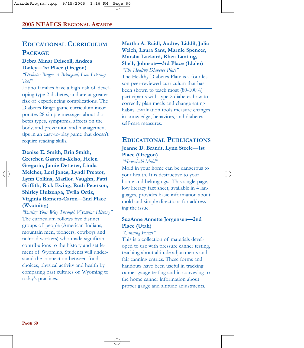### **EDUCATIONAL CURRICULUM PACKAGE**

#### **Debra Minar Driscoll, Andrea Dailey—1st Place (Oregon)**

*"Diabetes Bingo: A Bilingual, Low Literacy Tool"*

Latino families have a high risk of developing type 2 diabetes, and are at greater risk of experiencing complications. The Diabetes Bingo game curriculum incorporates 28 simple messages about diabetes types, symptoms, affects on the body, and prevention and management tips in an easy-to-play game that doesn't require reading skills.

**Denise E. Smith, Erin Smith, Gretchen Gasvoda-Kelso, Helen Gregario, Jamie Detterer, Linda Melcher, Lori Jones, Lyndi Preator, Lynn Collins, Marilou Vaughn, Patti Griffith, Rick Ewing, Ruth Peterson, Shirley Huizenga, Twila Ortiz, Virginia Romero-Caron—2nd Place (Wyoming)** 

*"Eating Your Way Through Wyoming History"* The curriculum follows five distinct groups of people (American Indians, mountain men, pioneers, cowboys and railroad workers) who made significant contributions to the history and settlement of Wyoming. Students will understand the connection between food choices, physical activity and health by comparing past cultures of Wyoming to today's practices.

#### **Martha A. Raidl, Audrey Liddil, Julia Welch, Laura Sant, Marnie Spencer, Marsha Lockard, Rhea Lanting, Shelly Johnson—3rd Place (Idaho)**  *"The Healthy Diabetes Plate"*

The Healthy Diabetes Plate is a four lesson peer-reviewed curriculum that has been shown to teach most (80-100%) participants with type 2 diabetes how to correctly plan meals and change eating habits. Evaluation tools measure changes in knowledge, behaviors, and diabetes self-care measures.

#### **EDUCATIONAL PUBLICATIONS**

#### **Jeanne D. Brandt, Lynn Steele—1st Place (Oregon)**

*"Household Mold"*

Mold in your home can be dangerous to your health. It is destructive to your home and belongings. This single-page, low literacy fact sheet, available in 4 languages, provides basic information about mold and simple directions for addressing the issue.

#### **SuzAnne Annette Jorgensen—2nd Place (Utah)**

#### *"Canning Forms"*

This is a collection of materials developed to use with pressure canner testing, teaching about altitude adjustments and fair canning entries. These forms and handouts have been useful in tracking canner gauge testing and in conveying to the home canner information about proper gauge and altitude adjustments.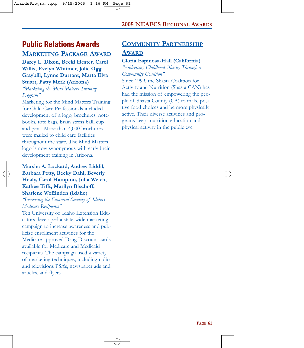# Public Relations Awards

### **MARKETING PACKAGE AWARD**

**Darcy L. Dixon, Becki Hester, Carol Willis, Evelyn Whitmer, Jolie Ogg Graybill, Lynne Durrant, Marta Elva Stuart, Patty Merk (Arizona)** 

*"Marketing the Mind Matters Training Program"*

Marketing for the Mind Matters Training for Child Care Professionals included development of a logo, brochures, notebooks, tote bags, brain stress ball, cup and pens. More than 4,000 brochures were mailed to child care facilities throughout the state. The Mind Matters logo is now synonymous with early brain development training in Arizona.

**Marsha A. Lockard, Audrey Liddil, Barbara Petty, Becky Dahl, Beverly Healy, Carol Hampton, Julia Welch, Kathee Tifft, Marilyn Bischoff, Sharlene Woffinden (Idaho)** 

*"Increasing the Financial Security of Idaho's Medicare Recipients"*

Ten University of Idaho Extension Educators developed a state-wide marketing campaign to increase awareness and publicize enrollment activities for the Medicare-approved Drug Discount cards available for Medicare and Medicaid recipients. The campaign used a variety of marketing techniques; including radio and televisions PSA's, newspaper ads and articles, and flyers.

### **COMMUNITY PARTNERSHIP AWARD**

#### **Gloria Espinosa-Hall (California)**

*"Addressing Childhood Obesity Through a Community Coalition"*

Since 1999, the Shasta Coalition for Activity and Nutrition (Shasta CAN) has had the mission of empowering the people of Shasta County (CA) to make positive food choices and be more physically active. Their diverse activities and programs keeps nutrition education and physical activity in the public eye.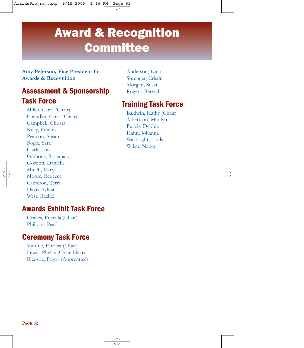# Award & Recognition Committee

**Amy Peterson, Vice President for Awards & Recognition**

### Assessment & Sponsorship Task Force

Miller, Carol (Chair) Chandler, Carol (Chair) Campbell, Christa Kelly, Edwina Pearson, Susan Bogle, Sara Clark, Lois Gibbons, Rosemary Gordon, Danielle Minch, Daryl Moore, Rebecca Cameron, Terri Davis, Sylvia West, Rachel

### Awards Exhibit Task Force

Graves, Priscilla (Chair) Philipps, Pearl

### Ceremony Task Force

Vidrine, Patricia (Chair) Lewis, Phyllis (Chair-Elect) Bledsoe, Peggy (Apprentice)

Anderson, Lana Sprenger, Cristin Morgan, Susan Rogers, Berteal

### Training Task Force

Baldwin, Kathy (Chair) Albertson, Marilyn Purvis, Debbie Hahn, Johanna Waybright, Linda Wiker, Nancy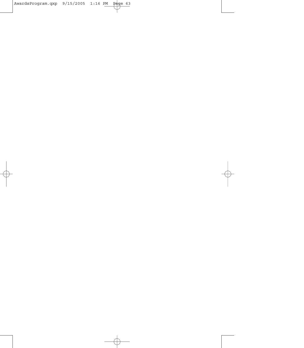$\oplus$ 

 $\oplus$